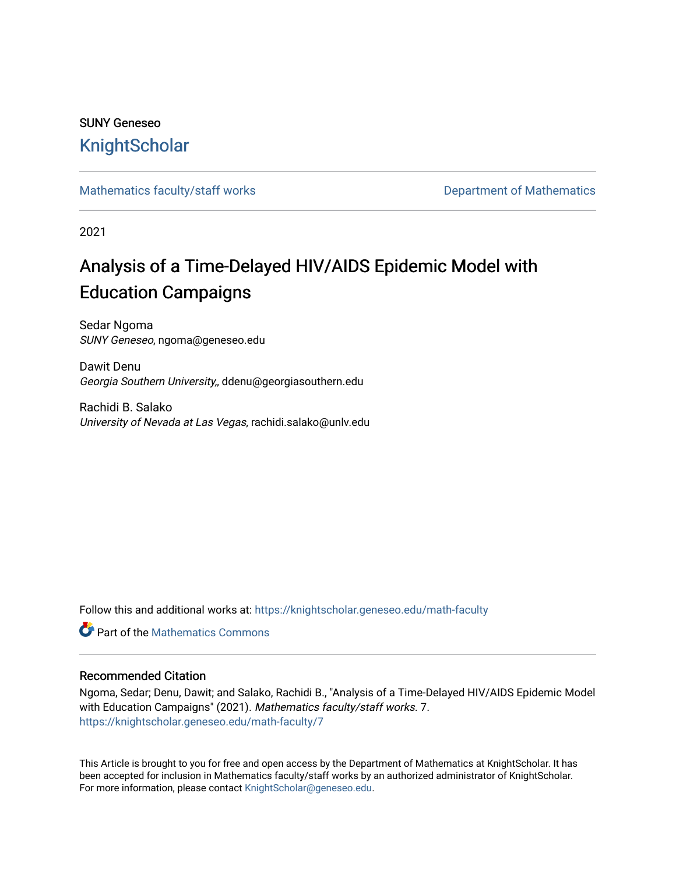## SUNY Geneseo **[KnightScholar](https://knightscholar.geneseo.edu/)**

[Mathematics faculty/staff works](https://knightscholar.geneseo.edu/math-faculty) **Department of Mathematics** Department of Mathematics

2021

# Analysis of a Time-Delayed HIV/AIDS Epidemic Model with Education Campaigns

Sedar Ngoma SUNY Geneseo, ngoma@geneseo.edu

Dawit Denu Georgia Southern University,, ddenu@georgiasouthern.edu

Rachidi B. Salako University of Nevada at Las Vegas, rachidi.salako@unlv.edu

Follow this and additional works at: [https://knightscholar.geneseo.edu/math-faculty](https://knightscholar.geneseo.edu/math-faculty?utm_source=knightscholar.geneseo.edu%2Fmath-faculty%2F7&utm_medium=PDF&utm_campaign=PDFCoverPages)

**C** Part of the [Mathematics Commons](http://network.bepress.com/hgg/discipline/174?utm_source=knightscholar.geneseo.edu%2Fmath-faculty%2F7&utm_medium=PDF&utm_campaign=PDFCoverPages)

#### Recommended Citation

Ngoma, Sedar; Denu, Dawit; and Salako, Rachidi B., "Analysis of a Time-Delayed HIV/AIDS Epidemic Model with Education Campaigns" (2021). Mathematics faculty/staff works. 7. [https://knightscholar.geneseo.edu/math-faculty/7](https://knightscholar.geneseo.edu/math-faculty/7?utm_source=knightscholar.geneseo.edu%2Fmath-faculty%2F7&utm_medium=PDF&utm_campaign=PDFCoverPages)

This Article is brought to you for free and open access by the Department of Mathematics at KnightScholar. It has been accepted for inclusion in Mathematics faculty/staff works by an authorized administrator of KnightScholar. For more information, please contact [KnightScholar@geneseo.edu](mailto:KnightScholar@geneseo.edu).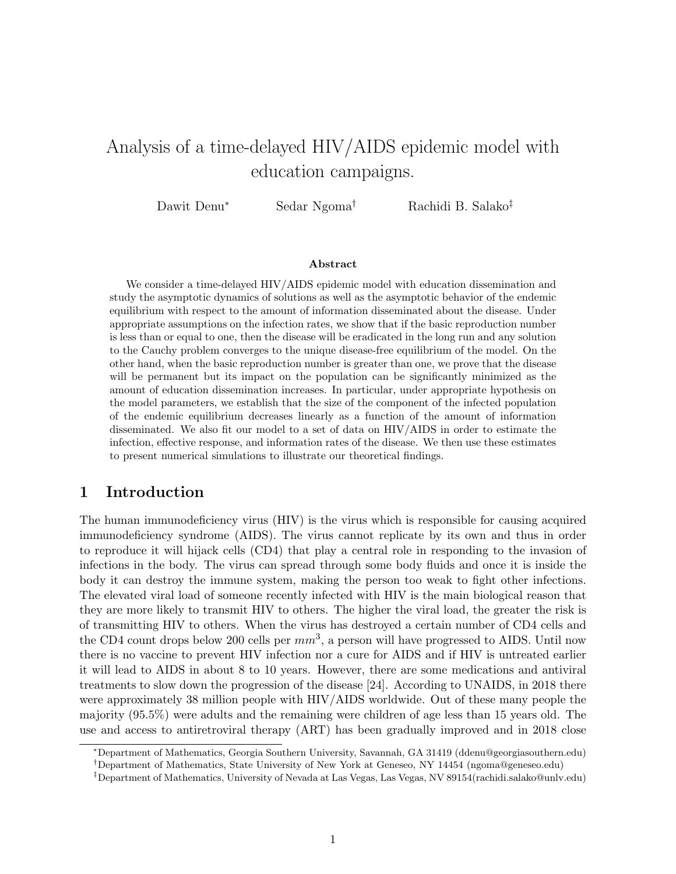# Analysis of a time-delayed HIV/AIDS epidemic model with education campaigns.

Dawit Denu<sup>∗</sup> Sedar Ngoma† Rachidi B. Salako‡

#### Abstract

We consider a time-delayed HIV/AIDS epidemic model with education dissemination and study the asymptotic dynamics of solutions as well as the asymptotic behavior of the endemic equilibrium with respect to the amount of information disseminated about the disease. Under appropriate assumptions on the infection rates, we show that if the basic reproduction number is less than or equal to one, then the disease will be eradicated in the long run and any solution to the Cauchy problem converges to the unique disease-free equilibrium of the model. On the other hand, when the basic reproduction number is greater than one, we prove that the disease will be permanent but its impact on the population can be significantly minimized as the amount of education dissemination increases. In particular, under appropriate hypothesis on the model parameters, we establish that the size of the component of the infected population of the endemic equilibrium decreases linearly as a function of the amount of information disseminated. We also fit our model to a set of data on HIV/AIDS in order to estimate the infection, effective response, and information rates of the disease. We then use these estimates to present numerical simulations to illustrate our theoretical findings.

## 1 Introduction

The human immunodeficiency virus (HIV) is the virus which is responsible for causing acquired immunodeficiency syndrome (AIDS). The virus cannot replicate by its own and thus in order to reproduce it will hijack cells (CD4) that play a central role in responding to the invasion of infections in the body. The virus can spread through some body fluids and once it is inside the body it can destroy the immune system, making the person too weak to fight other infections. The elevated viral load of someone recently infected with HIV is the main biological reason that they are more likely to transmit HIV to others. The higher the viral load, the greater the risk is of transmitting HIV to others. When the virus has destroyed a certain number of CD4 cells and the CD4 count drops below 200 cells per  $mm^3$ , a person will have progressed to AIDS. Until now there is no vaccine to prevent HIV infection nor a cure for AIDS and if HIV is untreated earlier it will lead to AIDS in about 8 to 10 years. However, there are some medications and antiviral treatments to slow down the progression of the disease [24]. According to UNAIDS, in 2018 there were approximately 38 million people with HIV/AIDS worldwide. Out of these many people the majority (95.5%) were adults and the remaining were children of age less than 15 years old. The use and access to antiretroviral therapy (ART) has been gradually improved and in 2018 close

<sup>∗</sup>Department of Mathematics, Georgia Southern University, Savannah, GA 31419 (ddenu@georgiasouthern.edu)

<sup>†</sup>Department of Mathematics, State University of New York at Geneseo, NY 14454 (ngoma@geneseo.edu)

<sup>‡</sup>Department of Mathematics, University of Nevada at Las Vegas, Las Vegas, NV 89154(rachidi.salako@unlv.edu)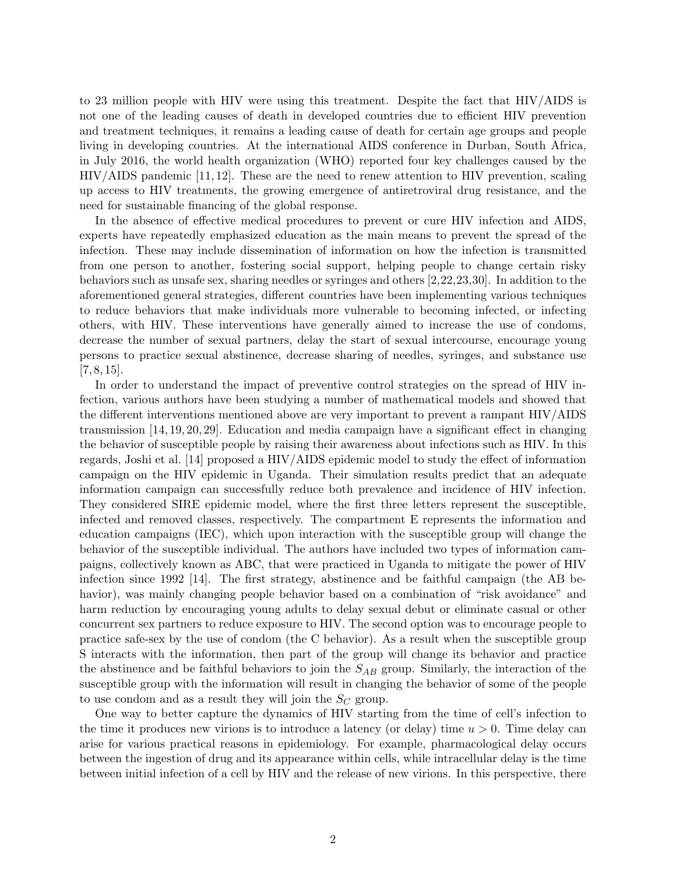to 23 million people with HIV were using this treatment. Despite the fact that HIV/AIDS is not one of the leading causes of death in developed countries due to efficient HIV prevention and treatment techniques, it remains a leading cause of death for certain age groups and people living in developing countries. At the international AIDS conference in Durban, South Africa, in July 2016, the world health organization (WHO) reported four key challenges caused by the HIV/AIDS pandemic [11, 12]. These are the need to renew attention to HIV prevention, scaling up access to HIV treatments, the growing emergence of antiretroviral drug resistance, and the need for sustainable financing of the global response.

In the absence of effective medical procedures to prevent or cure HIV infection and AIDS, experts have repeatedly emphasized education as the main means to prevent the spread of the infection. These may include dissemination of information on how the infection is transmitted from one person to another, fostering social support, helping people to change certain risky behaviors such as unsafe sex, sharing needles or syringes and others [2,22,23,30]. In addition to the aforementioned general strategies, different countries have been implementing various techniques to reduce behaviors that make individuals more vulnerable to becoming infected, or infecting others, with HIV. These interventions have generally aimed to increase the use of condoms, decrease the number of sexual partners, delay the start of sexual intercourse, encourage young persons to practice sexual abstinence, decrease sharing of needles, syringes, and substance use  $[7, 8, 15].$ 

In order to understand the impact of preventive control strategies on the spread of HIV infection, various authors have been studying a number of mathematical models and showed that the different interventions mentioned above are very important to prevent a rampant HIV/AIDS transmission [14, 19, 20, 29]. Education and media campaign have a significant effect in changing the behavior of susceptible people by raising their awareness about infections such as HIV. In this regards, Joshi et al. [14] proposed a HIV/AIDS epidemic model to study the effect of information campaign on the HIV epidemic in Uganda. Their simulation results predict that an adequate information campaign can successfully reduce both prevalence and incidence of HIV infection. They considered SIRE epidemic model, where the first three letters represent the susceptible, infected and removed classes, respectively. The compartment E represents the information and education campaigns (IEC), which upon interaction with the susceptible group will change the behavior of the susceptible individual. The authors have included two types of information campaigns, collectively known as ABC, that were practiced in Uganda to mitigate the power of HIV infection since 1992 [14]. The first strategy, abstinence and be faithful campaign (the AB behavior), was mainly changing people behavior based on a combination of "risk avoidance" and harm reduction by encouraging young adults to delay sexual debut or eliminate casual or other concurrent sex partners to reduce exposure to HIV. The second option was to encourage people to practice safe-sex by the use of condom (the C behavior). As a result when the susceptible group S interacts with the information, then part of the group will change its behavior and practice the abstinence and be faithful behaviors to join the  $S_{AB}$  group. Similarly, the interaction of the susceptible group with the information will result in changing the behavior of some of the people to use condom and as a result they will join the  $S_C$  group.

One way to better capture the dynamics of HIV starting from the time of cell's infection to the time it produces new virions is to introduce a latency (or delay) time  $u > 0$ . Time delay can arise for various practical reasons in epidemiology. For example, pharmacological delay occurs between the ingestion of drug and its appearance within cells, while intracellular delay is the time between initial infection of a cell by HIV and the release of new virions. In this perspective, there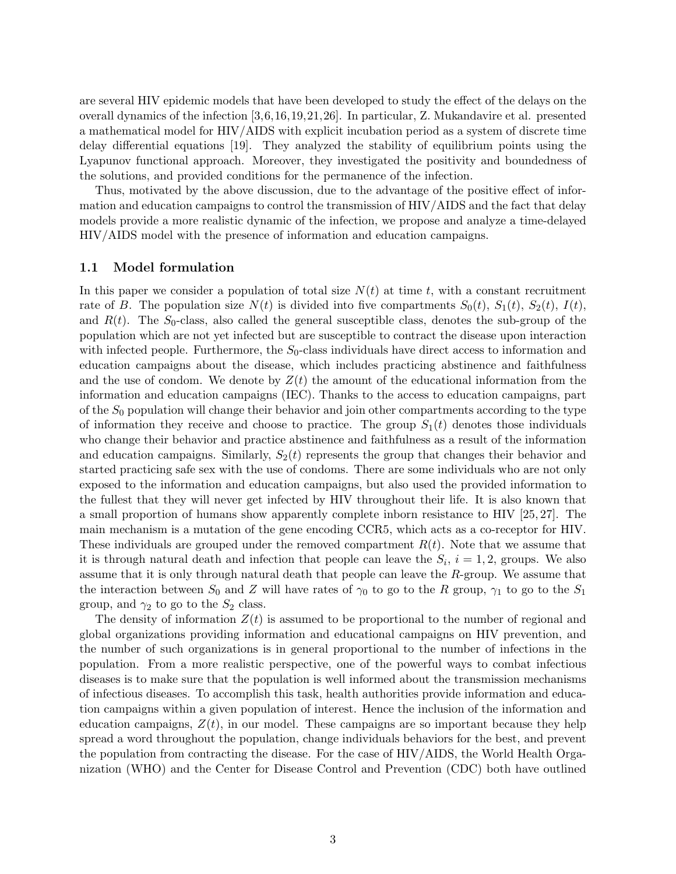are several HIV epidemic models that have been developed to study the effect of the delays on the overall dynamics of the infection [3,6,16,19,21,26]. In particular, Z. Mukandavire et al. presented a mathematical model for HIV/AIDS with explicit incubation period as a system of discrete time delay differential equations [19]. They analyzed the stability of equilibrium points using the Lyapunov functional approach. Moreover, they investigated the positivity and boundedness of the solutions, and provided conditions for the permanence of the infection.

Thus, motivated by the above discussion, due to the advantage of the positive effect of information and education campaigns to control the transmission of HIV/AIDS and the fact that delay models provide a more realistic dynamic of the infection, we propose and analyze a time-delayed HIV/AIDS model with the presence of information and education campaigns.

#### 1.1 Model formulation

In this paper we consider a population of total size  $N(t)$  at time t, with a constant recruitment rate of B. The population size  $N(t)$  is divided into five compartments  $S_0(t)$ ,  $S_1(t)$ ,  $S_2(t)$ ,  $I(t)$ , and  $R(t)$ . The  $S_0$ -class, also called the general susceptible class, denotes the sub-group of the population which are not yet infected but are susceptible to contract the disease upon interaction with infected people. Furthermore, the  $S_0$ -class individuals have direct access to information and education campaigns about the disease, which includes practicing abstinence and faithfulness and the use of condom. We denote by  $Z(t)$  the amount of the educational information from the information and education campaigns (IEC). Thanks to the access to education campaigns, part of the  $S_0$  population will change their behavior and join other compartments according to the type of information they receive and choose to practice. The group  $S_1(t)$  denotes those individuals who change their behavior and practice abstinence and faithfulness as a result of the information and education campaigns. Similarly,  $S_2(t)$  represents the group that changes their behavior and started practicing safe sex with the use of condoms. There are some individuals who are not only exposed to the information and education campaigns, but also used the provided information to the fullest that they will never get infected by HIV throughout their life. It is also known that a small proportion of humans show apparently complete inborn resistance to HIV [25, 27]. The main mechanism is a mutation of the gene encoding CCR5, which acts as a co-receptor for HIV. These individuals are grouped under the removed compartment  $R(t)$ . Note that we assume that it is through natural death and infection that people can leave the  $S_i$ ,  $i = 1, 2$ , groups. We also assume that it is only through natural death that people can leave the R-group. We assume that the interaction between  $S_0$  and Z will have rates of  $\gamma_0$  to go to the R group,  $\gamma_1$  to go to the  $S_1$ group, and  $\gamma_2$  to go to the  $S_2$  class.

The density of information  $Z(t)$  is assumed to be proportional to the number of regional and global organizations providing information and educational campaigns on HIV prevention, and the number of such organizations is in general proportional to the number of infections in the population. From a more realistic perspective, one of the powerful ways to combat infectious diseases is to make sure that the population is well informed about the transmission mechanisms of infectious diseases. To accomplish this task, health authorities provide information and education campaigns within a given population of interest. Hence the inclusion of the information and education campaigns,  $Z(t)$ , in our model. These campaigns are so important because they help spread a word throughout the population, change individuals behaviors for the best, and prevent the population from contracting the disease. For the case of HIV/AIDS, the World Health Organization (WHO) and the Center for Disease Control and Prevention (CDC) both have outlined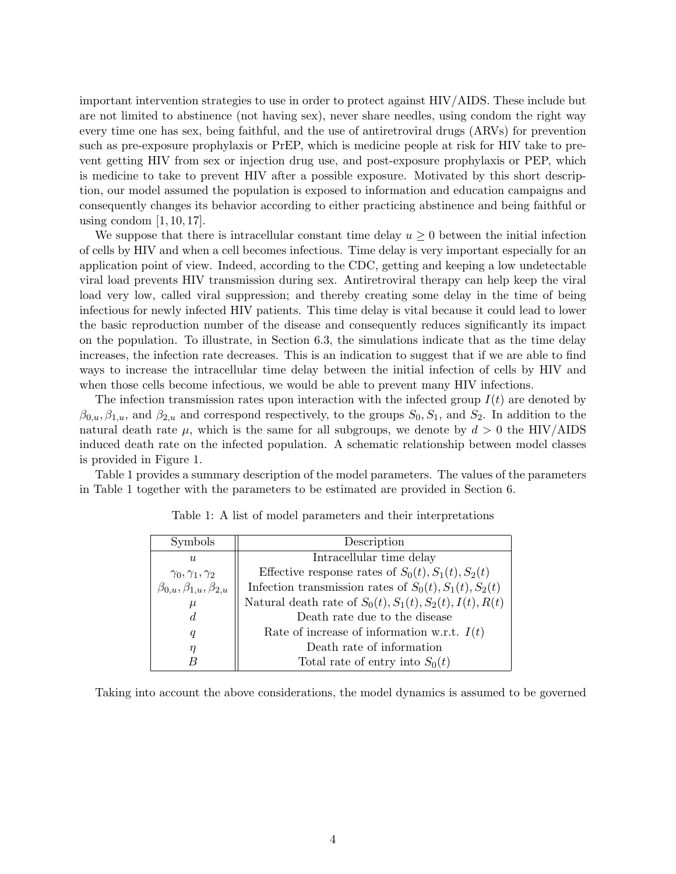important intervention strategies to use in order to protect against HIV/AIDS. These include but are not limited to abstinence (not having sex), never share needles, using condom the right way every time one has sex, being faithful, and the use of antiretroviral drugs (ARVs) for prevention such as pre-exposure prophylaxis or PrEP, which is medicine people at risk for HIV take to prevent getting HIV from sex or injection drug use, and post-exposure prophylaxis or PEP, which is medicine to take to prevent HIV after a possible exposure. Motivated by this short description, our model assumed the population is exposed to information and education campaigns and consequently changes its behavior according to either practicing abstinence and being faithful or using condom  $[1, 10, 17]$ .

We suppose that there is intracellular constant time delay  $u \geq 0$  between the initial infection of cells by HIV and when a cell becomes infectious. Time delay is very important especially for an application point of view. Indeed, according to the CDC, getting and keeping a low undetectable viral load prevents HIV transmission during sex. Antiretroviral therapy can help keep the viral load very low, called viral suppression; and thereby creating some delay in the time of being infectious for newly infected HIV patients. This time delay is vital because it could lead to lower the basic reproduction number of the disease and consequently reduces significantly its impact on the population. To illustrate, in Section 6.3, the simulations indicate that as the time delay increases, the infection rate decreases. This is an indication to suggest that if we are able to find ways to increase the intracellular time delay between the initial infection of cells by HIV and when those cells become infectious, we would be able to prevent many HIV infections.

The infection transmission rates upon interaction with the infected group  $I(t)$  are denoted by  $\beta_{0,u}, \beta_{1,u}$ , and  $\beta_{2,u}$  and correspond respectively, to the groups  $S_0, S_1$ , and  $S_2$ . In addition to the natural death rate  $\mu$ , which is the same for all subgroups, we denote by  $d > 0$  the HIV/AIDS induced death rate on the infected population. A schematic relationship between model classes is provided in Figure 1.

Table 1 provides a summary description of the model parameters. The values of the parameters in Table 1 together with the parameters to be estimated are provided in Section 6.

| <b>Symbols</b>                          | Description                                                            |
|-----------------------------------------|------------------------------------------------------------------------|
| $\mathfrak{u}$                          | Intracellular time delay                                               |
| $\gamma_0, \gamma_1, \gamma_2$          | Effective response rates of $S_0(t)$ , $S_1(t)$ , $S_2(t)$             |
| $\beta_{0,u}, \beta_{1,u}, \beta_{2,u}$ | Infection transmission rates of $S_0(t)$ , $S_1(t)$ , $S_2(t)$         |
| $\mu$                                   | Natural death rate of $S_0(t)$ , $S_1(t)$ , $S_2(t)$ , $I(t)$ , $R(t)$ |
| d.                                      | Death rate due to the disease                                          |
| q                                       | Rate of increase of information w.r.t. $I(t)$                          |
| $\eta$                                  | Death rate of information                                              |
|                                         | Total rate of entry into $S_0(t)$                                      |

Table 1: A list of model parameters and their interpretations

Taking into account the above considerations, the model dynamics is assumed to be governed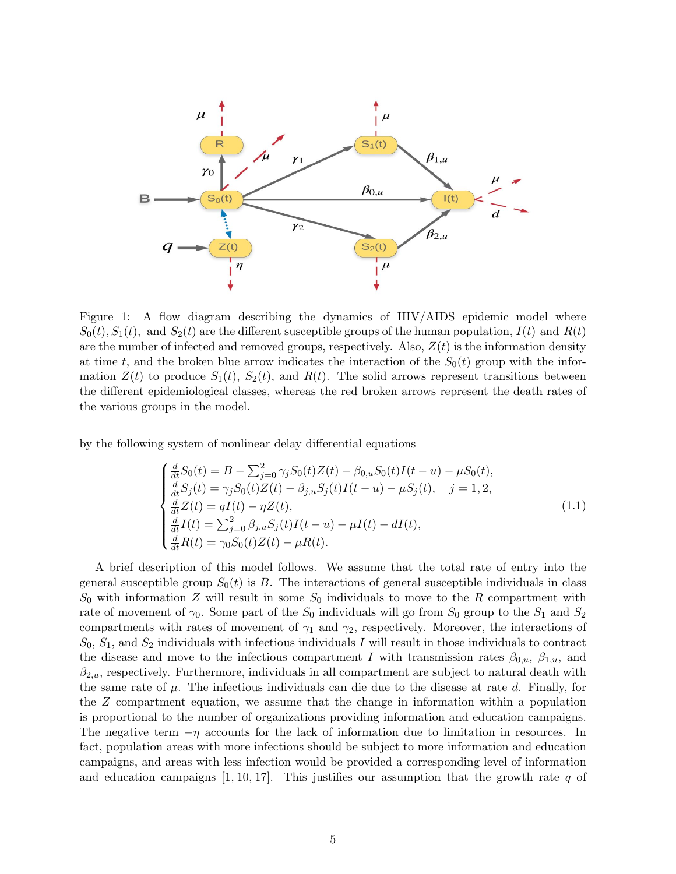

Figure 1: A flow diagram describing the dynamics of HIV/AIDS epidemic model where  $S_0(t)$ ,  $S_1(t)$ , and  $S_2(t)$  are the different susceptible groups of the human population,  $I(t)$  and  $R(t)$ are the number of infected and removed groups, respectively. Also,  $Z(t)$  is the information density at time t, and the broken blue arrow indicates the interaction of the  $S_0(t)$  group with the information  $Z(t)$  to produce  $S_1(t)$ ,  $S_2(t)$ , and  $R(t)$ . The solid arrows represent transitions between the different epidemiological classes, whereas the red broken arrows represent the death rates of the various groups in the model.

by the following system of nonlinear delay differential equations

$$
\begin{cases}\n\frac{d}{dt}S_0(t) = B - \sum_{j=0}^2 \gamma_j S_0(t)Z(t) - \beta_{0,u}S_0(t)I(t-u) - \mu S_0(t),\n\frac{d}{dt}S_j(t) = \gamma_j S_0(t)Z(t) - \beta_{j,u}S_j(t)I(t-u) - \mu S_j(t), \quad j = 1, 2,\n\frac{d}{dt}Z(t) = qI(t) - \eta Z(t),\n\frac{d}{dt}I(t) = \sum_{j=0}^2 \beta_{j,u}S_j(t)I(t-u) - \mu I(t) - dI(t),\n\frac{d}{dt}R(t) = \gamma_0 S_0(t)Z(t) - \mu R(t).\n\end{cases}
$$
\n(1.1)

A brief description of this model follows. We assume that the total rate of entry into the general susceptible group  $S_0(t)$  is B. The interactions of general susceptible individuals in class  $S_0$  with information Z will result in some  $S_0$  individuals to move to the R compartment with rate of movement of  $\gamma_0$ . Some part of the  $S_0$  individuals will go from  $S_0$  group to the  $S_1$  and  $S_2$ compartments with rates of movement of  $\gamma_1$  and  $\gamma_2$ , respectively. Moreover, the interactions of  $S_0, S_1$ , and  $S_2$  individuals with infectious individuals I will result in those individuals to contract the disease and move to the infectious compartment I with transmission rates  $\beta_{0,u}$ ,  $\beta_{1,u}$ , and  $\beta_{2,u}$ , respectively. Furthermore, individuals in all compartment are subject to natural death with the same rate of  $\mu$ . The infectious individuals can die due to the disease at rate d. Finally, for the Z compartment equation, we assume that the change in information within a population is proportional to the number of organizations providing information and education campaigns. The negative term  $-\eta$  accounts for the lack of information due to limitation in resources. In fact, population areas with more infections should be subject to more information and education campaigns, and areas with less infection would be provided a corresponding level of information and education campaigns  $[1, 10, 17]$ . This justifies our assumption that the growth rate q of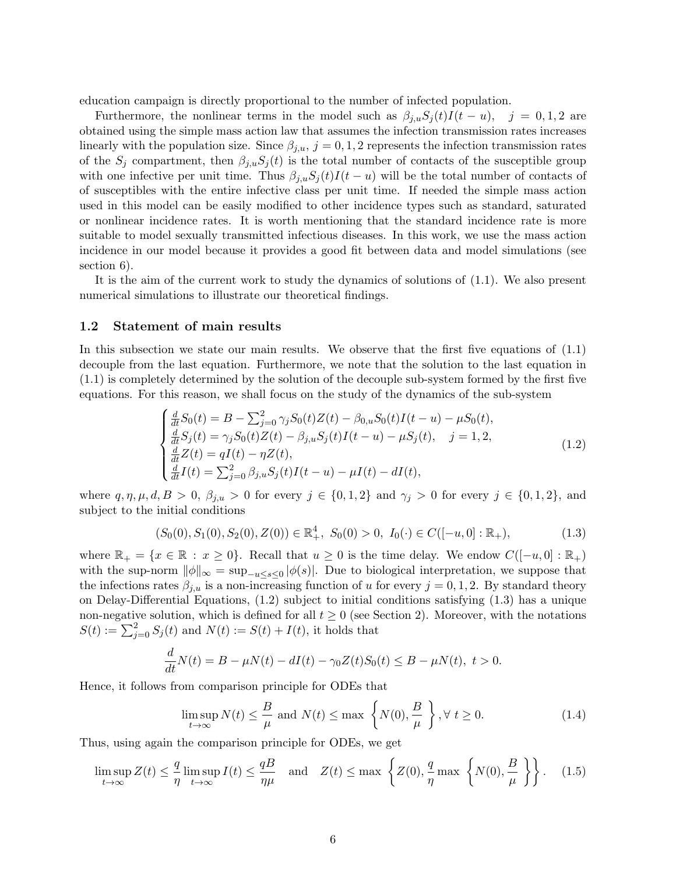education campaign is directly proportional to the number of infected population.

Furthermore, the nonlinear terms in the model such as  $\beta_{i,u} S_i(t) I(t-u)$ ,  $j = 0,1,2$  are obtained using the simple mass action law that assumes the infection transmission rates increases linearly with the population size. Since  $\beta_{i,u}$ ,  $j = 0,1,2$  represents the infection transmission rates of the  $S_j$  compartment, then  $\beta_{j,u}S_j(t)$  is the total number of contacts of the susceptible group with one infective per unit time. Thus  $\beta_{i,u}S_i(t)I(t-u)$  will be the total number of contacts of of susceptibles with the entire infective class per unit time. If needed the simple mass action used in this model can be easily modified to other incidence types such as standard, saturated or nonlinear incidence rates. It is worth mentioning that the standard incidence rate is more suitable to model sexually transmitted infectious diseases. In this work, we use the mass action incidence in our model because it provides a good fit between data and model simulations (see section 6).

It is the aim of the current work to study the dynamics of solutions of (1.1). We also present numerical simulations to illustrate our theoretical findings.

#### 1.2 Statement of main results

In this subsection we state our main results. We observe that the first five equations of (1.1) decouple from the last equation. Furthermore, we note that the solution to the last equation in (1.1) is completely determined by the solution of the decouple sub-system formed by the first five equations. For this reason, we shall focus on the study of the dynamics of the sub-system

$$
\begin{cases}\n\frac{d}{dt}S_0(t) = B - \sum_{j=0}^2 \gamma_j S_0(t)Z(t) - \beta_{0,u}S_0(t)I(t-u) - \mu S_0(t), \\
\frac{d}{dt}S_j(t) = \gamma_j S_0(t)Z(t) - \beta_{j,u}S_j(t)I(t-u) - \mu S_j(t), \quad j = 1, 2, \\
\frac{d}{dt}Z(t) = qI(t) - \eta Z(t), \\
\frac{d}{dt}I(t) = \sum_{j=0}^2 \beta_{j,u}S_j(t)I(t-u) - \mu I(t) - dI(t),\n\end{cases}
$$
\n(1.2)

where  $q, \eta, \mu, d, B > 0$ ,  $\beta_{j,u} > 0$  for every  $j \in \{0,1,2\}$  and  $\gamma_j > 0$  for every  $j \in \{0,1,2\}$ , and subject to the initial conditions

$$
(S_0(0), S_1(0), S_2(0), Z(0)) \in \mathbb{R}^4_+, S_0(0) > 0, I_0(\cdot) \in C([-u, 0] : \mathbb{R}_+),
$$
\n(1.3)

where  $\mathbb{R}_+ = \{x \in \mathbb{R} : x \geq 0\}$ . Recall that  $u \geq 0$  is the time delay. We endow  $C([-u, 0]: \mathbb{R}_+)$ with the sup-norm  $\|\phi\|_{\infty} = \sup_{-u \leq s \leq 0} |\phi(s)|$ . Due to biological interpretation, we suppose that the infections rates  $\beta_{i,u}$  is a non-increasing function of u for every  $j = 0, 1, 2$ . By standard theory on Delay-Differential Equations, (1.2) subject to initial conditions satisfying (1.3) has a unique non-negative solution, which is defined for all  $t \geq 0$  (see Section 2). Moreover, with the notations  $S(t) := \sum_{j=0}^{2} S_j(t)$  and  $N(t) := S(t) + I(t)$ , it holds that

$$
\frac{d}{dt}N(t) = B - \mu N(t) - dI(t) - \gamma_0 Z(t)S_0(t) \leq B - \mu N(t), \ t > 0.
$$

Hence, it follows from comparison principle for ODEs that

$$
\limsup_{t \to \infty} N(t) \le \frac{B}{\mu} \text{ and } N(t) \le \max \left\{ N(0), \frac{B}{\mu} \right\}, \forall t \ge 0.
$$
 (1.4)

Thus, using again the comparison principle for ODEs, we get

$$
\limsup_{t \to \infty} Z(t) \le \frac{q}{\eta} \limsup_{t \to \infty} I(t) \le \frac{qB}{\eta \mu} \quad \text{and} \quad Z(t) \le \max \left\{ Z(0), \frac{q}{\eta} \max \left\{ N(0), \frac{B}{\mu} \right\} \right\}. \tag{1.5}
$$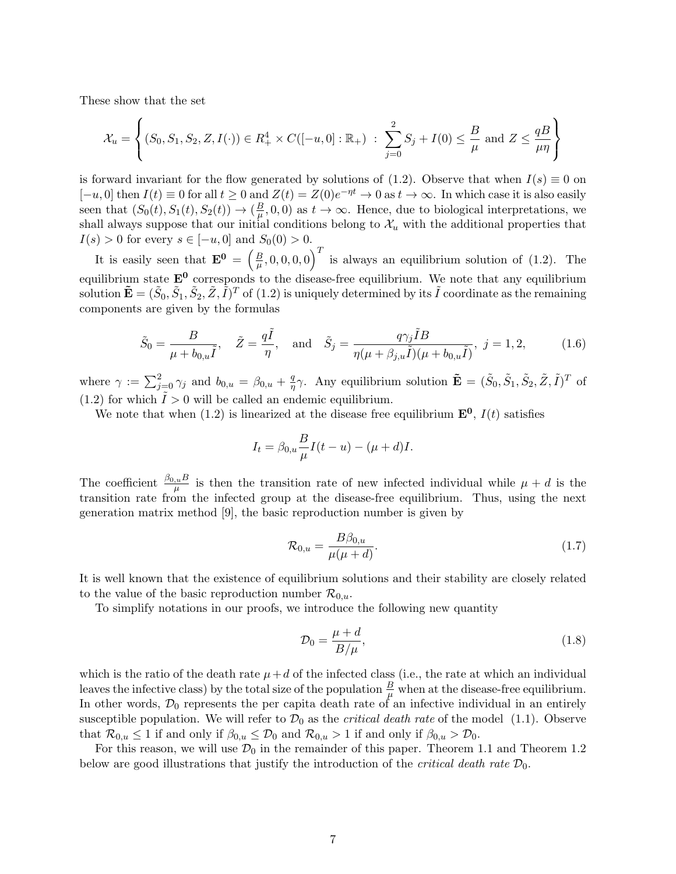These show that the set

$$
\mathcal{X}_u = \left\{ (S_0, S_1, S_2, Z, I(\cdot)) \in R_+^4 \times C([-u, 0]: \mathbb{R}_+) : \sum_{j=0}^2 S_j + I(0) \le \frac{B}{\mu} \text{ and } Z \le \frac{qB}{\mu\eta} \right\}
$$

is forward invariant for the flow generated by solutions of (1.2). Observe that when  $I(s) \equiv 0$  on  $[-u, 0]$  then  $I(t) \equiv 0$  for all  $t \ge 0$  and  $Z(t) = Z(0)e^{-\eta t} \to 0$  as  $t \to \infty$ . In which case it is also easily seen that  $(S_0(t), S_1(t), S_2(t)) \rightarrow (\frac{B}{\mu})$  $\frac{B}{\mu}, 0, 0$  as  $t \to \infty$ . Hence, due to biological interpretations, we shall always suppose that our initial conditions belong to  $\mathcal{X}_u$  with the additional properties that  $I(s) > 0$  for every  $s \in [-u, 0]$  and  $S_0(0) > 0$ .

It is easily seen that  $\mathbf{E}^{\mathbf{0}} = \left(\frac{B}{\mu}\right)$  $(\frac{B}{\mu}, 0, 0, 0, 0)^T$  is always an equilibrium solution of (1.2). The equilibrium state  $E^0$  corresponds to the disease-free equilibrium. We note that any equilibrium solution  $\mathbf{\tilde{E}}=(\tilde{S}_0,\tilde{S}_1,\tilde{S}_2,\tilde{Z},\tilde{I})^T$  of  $(1.2)$  is uniquely determined by its  $\tilde{I}$  coordinate as the remaining components are given by the formulas

$$
\tilde{S}_0 = \frac{B}{\mu + b_{0,u}\tilde{I}}, \quad \tilde{Z} = \frac{q\tilde{I}}{\eta}, \text{ and } \tilde{S}_j = \frac{q\gamma_j \tilde{I}B}{\eta(\mu + \beta_{j,u}\tilde{I})(\mu + b_{0,u}\tilde{I})}, \quad j = 1, 2,
$$
\n(1.6)

where  $\gamma := \sum_{j=0}^{2} \gamma_j$  and  $b_{0,u} = \beta_{0,u} + \frac{q}{\eta}$  $\frac{q}{\eta}\gamma$ . Any equilibrium solution  $\tilde{\mathbf{E}} = (\tilde{S}_0, \tilde{S}_1, \tilde{S}_2, \tilde{Z}, \tilde{I})^T$  of  $(1.2)$  for which  $\overline{I} > 0$  will be called an endemic equilibrium.

We note that when (1.2) is linearized at the disease free equilibrium  $\mathbf{E}^0$ ,  $I(t)$  satisfies

$$
I_t = \beta_{0,u} \frac{B}{\mu} I(t-u) - (\mu + d)I.
$$

The coefficient  $\frac{\beta_{0,u}B}{\mu}$  is then the transition rate of new infected individual while  $\mu + d$  is the transition rate from the infected group at the disease-free equilibrium. Thus, using the next generation matrix method [9], the basic reproduction number is given by

$$
\mathcal{R}_{0,u} = \frac{B\beta_{0,u}}{\mu(\mu + d)}.
$$
\n(1.7)

It is well known that the existence of equilibrium solutions and their stability are closely related to the value of the basic reproduction number  $\mathcal{R}_{0,u}$ .

To simplify notations in our proofs, we introduce the following new quantity

$$
\mathcal{D}_0 = \frac{\mu + d}{B/\mu},\tag{1.8}
$$

which is the ratio of the death rate  $\mu + d$  of the infected class (i.e., the rate at which an individual leaves the infective class) by the total size of the population  $\frac{B}{\mu}$  when at the disease-free equilibrium. In other words,  $\mathcal{D}_0$  represents the per capita death rate of an infective individual in an entirely susceptible population. We will refer to  $\mathcal{D}_0$  as the *critical death rate* of the model (1.1). Observe that  $\mathcal{R}_{0,u} \leq 1$  if and only if  $\beta_{0,u} \leq \mathcal{D}_0$  and  $\mathcal{R}_{0,u} > 1$  if and only if  $\beta_{0,u} > \mathcal{D}_0$ .

For this reason, we will use  $\mathcal{D}_0$  in the remainder of this paper. Theorem 1.1 and Theorem 1.2 below are good illustrations that justify the introduction of the *critical death rate*  $\mathcal{D}_0$ .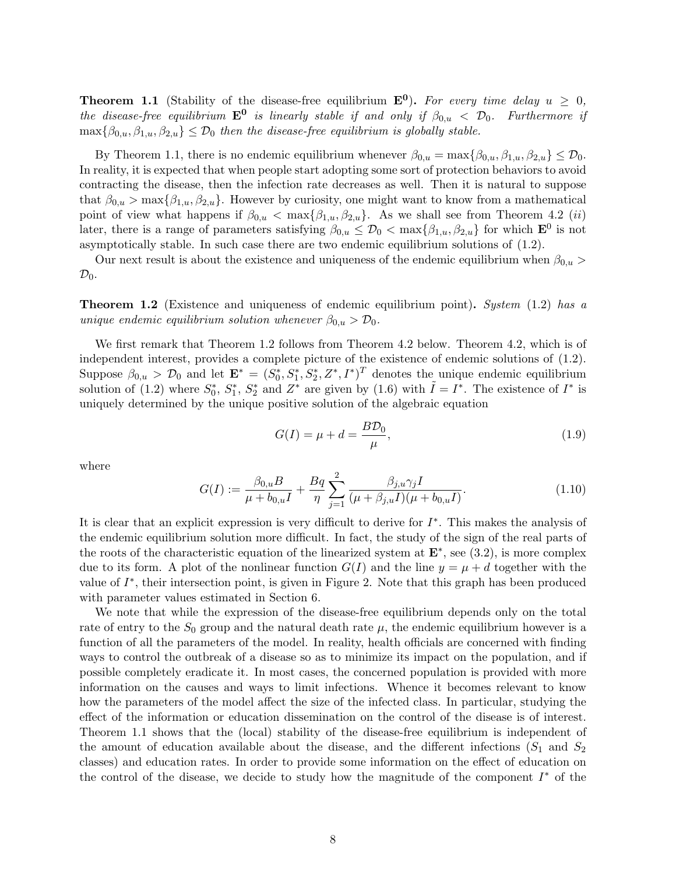**Theorem 1.1** (Stability of the disease-free equilibrium  $\mathbf{E}^0$ ). For every time delay  $u \geq 0$ , the disease-free equilibrium  $\mathbf{E}^0$  is linearly stable if and only if  $\beta_{0,u} < \mathcal{D}_0$ . Furthermore if  $\max{\{\beta_{0,u}, \beta_{1,u}, \beta_{2,u}\}} \leq \mathcal{D}_0$  then the disease-free equilibrium is globally stable.

By Theorem 1.1, there is no endemic equilibrium whenever  $\beta_{0,u} = \max{\{\beta_{0,u}, \beta_{1,u}, \beta_{2,u}\}} \leq \mathcal{D}_0$ . In reality, it is expected that when people start adopting some sort of protection behaviors to avoid contracting the disease, then the infection rate decreases as well. Then it is natural to suppose that  $\beta_{0,u} > \max{\{\beta_{1,u}, \beta_{2,u}\}}$ . However by curiosity, one might want to know from a mathematical point of view what happens if  $\beta_{0,u} < \max{\{\beta_{1,u}, \beta_{2,u}\}}$ . As we shall see from Theorem 4.2 *(ii)* later, there is a range of parameters satisfying  $\beta_{0,u} \leq \mathcal{D}_0 < \max{\beta_{1,u}, \beta_{2,u}}$  for which  $\mathbf{E}^0$  is not asymptotically stable. In such case there are two endemic equilibrium solutions of (1.2).

Our next result is about the existence and uniqueness of the endemic equilibrium when  $\beta_{0,u}$  $\mathcal{D}_0$ .

**Theorem 1.2** (Existence and uniqueness of endemic equilibrium point). System  $(1.2)$  has a unique endemic equilibrium solution whenever  $\beta_{0,u} > \mathcal{D}_0$ .

We first remark that Theorem 1.2 follows from Theorem 4.2 below. Theorem 4.2, which is of independent interest, provides a complete picture of the existence of endemic solutions of (1.2). Suppose  $\beta_{0,u} > \mathcal{D}_0$  and let  $\mathbf{E}^* = (S_0^*, S_1^*, S_2^*, Z^*, I^*)^T$  denotes the unique endemic equilibrium solution of (1.2) where  $S_0^*$ ,  $S_1^*$ ,  $S_2^*$  and  $Z^*$  are given by (1.6) with  $\tilde{I} = I^*$ . The existence of  $I^*$  is uniquely determined by the unique positive solution of the algebraic equation

$$
G(I) = \mu + d = \frac{BD_0}{\mu},\tag{1.9}
$$

where

$$
G(I) := \frac{\beta_{0,u}B}{\mu + b_{0,u}I} + \frac{Bq}{\eta} \sum_{j=1}^{2} \frac{\beta_{j,u}\gamma_j I}{(\mu + \beta_{j,u}I)(\mu + b_{0,u}I)}.
$$
(1.10)

It is clear that an explicit expression is very difficult to derive for  $I^*$ . This makes the analysis of the endemic equilibrium solution more difficult. In fact, the study of the sign of the real parts of the roots of the characteristic equation of the linearized system at  $\mathbf{E}^*$ , see (3.2), is more complex due to its form. A plot of the nonlinear function  $G(I)$  and the line  $y = \mu + d$  together with the value of  $I^*$ , their intersection point, is given in Figure 2. Note that this graph has been produced with parameter values estimated in Section 6.

We note that while the expression of the disease-free equilibrium depends only on the total rate of entry to the  $S_0$  group and the natural death rate  $\mu$ , the endemic equilibrium however is a function of all the parameters of the model. In reality, health officials are concerned with finding ways to control the outbreak of a disease so as to minimize its impact on the population, and if possible completely eradicate it. In most cases, the concerned population is provided with more information on the causes and ways to limit infections. Whence it becomes relevant to know how the parameters of the model affect the size of the infected class. In particular, studying the effect of the information or education dissemination on the control of the disease is of interest. Theorem 1.1 shows that the (local) stability of the disease-free equilibrium is independent of the amount of education available about the disease, and the different infections  $(S_1$  and  $S_2$ classes) and education rates. In order to provide some information on the effect of education on the control of the disease, we decide to study how the magnitude of the component  $I^*$  of the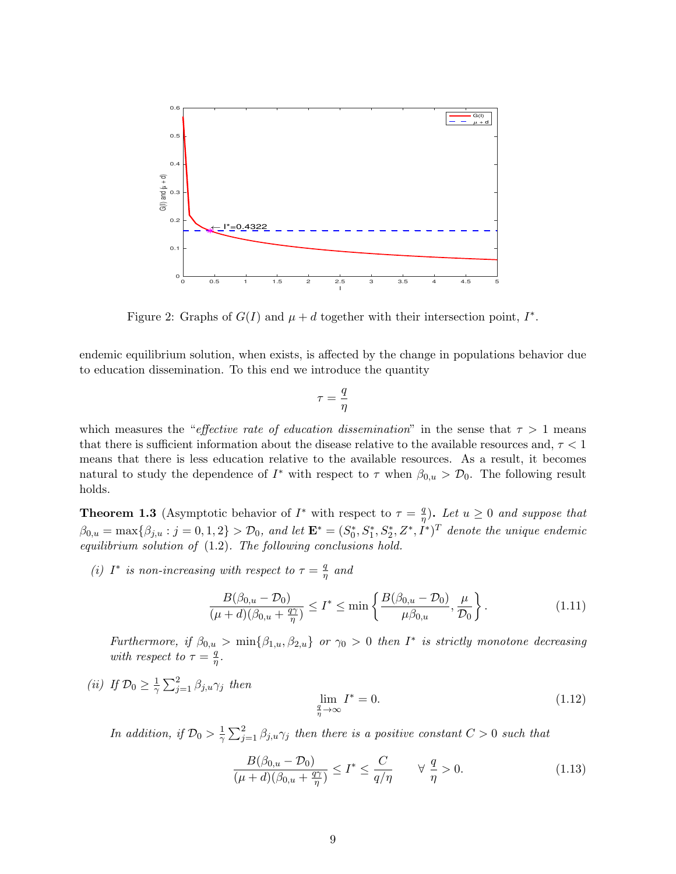

Figure 2: Graphs of  $G(I)$  and  $\mu + d$  together with their intersection point,  $I^*$ .

endemic equilibrium solution, when exists, is affected by the change in populations behavior due to education dissemination. To this end we introduce the quantity

$$
\tau = \frac{q}{\eta}
$$

which measures the "effective rate of education dissemination" in the sense that  $\tau > 1$  means that there is sufficient information about the disease relative to the available resources and,  $\tau < 1$ means that there is less education relative to the available resources. As a result, it becomes natural to study the dependence of  $I^*$  with respect to  $\tau$  when  $\beta_{0,u} > \mathcal{D}_0$ . The following result holds.

**Theorem 1.3** (Asymptotic behavior of  $I^*$  with respect to  $\tau = \frac{q}{n}$  $\frac{q}{\eta}$ ). Let  $u \geq 0$  and suppose that  $\beta_{0,u} = \max\{\beta_{j,u} : j = 0,1,2\} > \mathcal{D}_0$ , and let  $\mathbf{E}^* = (S_0^*, S_1^*, S_2^*, Z^*, I^*)^T$  denote the unique endemic equilibrium solution of (1.2). The following conclusions hold.

(i) I<sup>\*</sup> is non-increasing with respect to  $\tau = \frac{q}{r}$  $\frac{q}{\eta}$  and

$$
\frac{B(\beta_{0,u} - \mathcal{D}_0)}{(\mu + d)(\beta_{0,u} + \frac{q\gamma}{\eta})} \le I^* \le \min\left\{\frac{B(\beta_{0,u} - \mathcal{D}_0)}{\mu \beta_{0,u}}, \frac{\mu}{\mathcal{D}_0}\right\}.
$$
\n(1.11)

Furthermore, if  $\beta_{0,u} > \min\{\beta_{1,u},\beta_{2,u}\}\$  or  $\gamma_0 > 0$  then  $I^*$  is strictly monotone decreasing with respect to  $\tau = \frac{q}{n}$  $\frac{q}{\eta}$  .

(*ii*) If  $\mathcal{D}_0 \geq \frac{1}{\gamma}$  $\frac{1}{\gamma} \sum_{j=1}^{2} \beta_{j,u} \gamma_j$  then

$$
\lim_{\frac{q}{\eta} \to \infty} I^* = 0. \tag{1.12}
$$

In addition, if  $\mathcal{D}_0 > \frac{1}{\gamma}$  $\frac{1}{\gamma} \sum_{j=1}^{2} \beta_{j,u} \gamma_j$  then there is a positive constant  $C > 0$  such that

$$
\frac{B(\beta_{0,u} - \mathcal{D}_0)}{(\mu + d)(\beta_{0,u} + \frac{q\gamma}{\eta})} \le I^* \le \frac{C}{q/\eta} \qquad \forall \frac{q}{\eta} > 0.
$$
\n(1.13)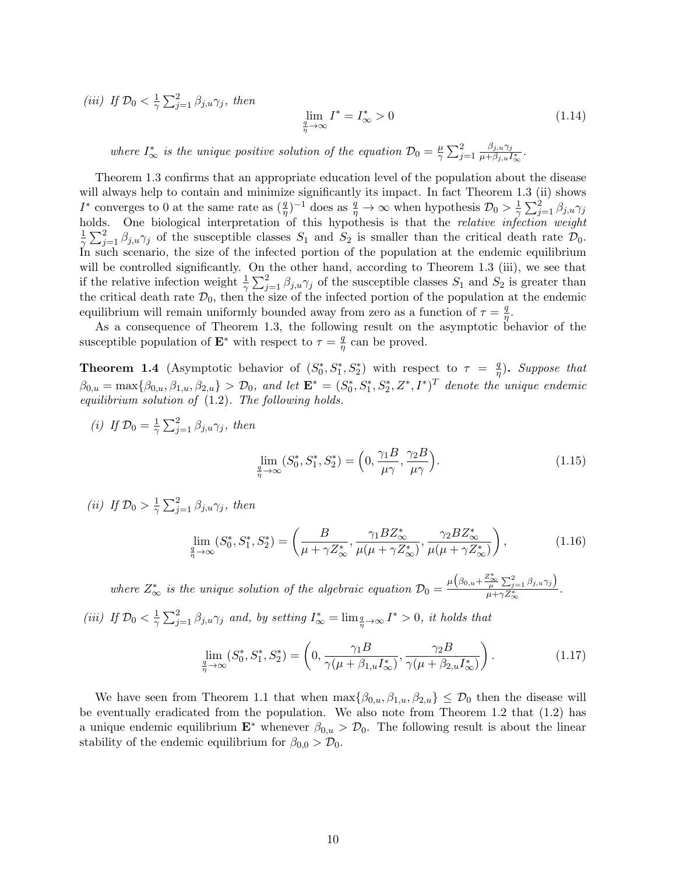(*iii*) If  $\mathcal{D}_0 < \frac{1}{\gamma}$  $\frac{1}{\gamma} \sum_{j=1}^{2} \beta_{j,u} \gamma_j$ , then

$$
\lim_{\frac{q}{\eta} \to \infty} I^* = I^*_{\infty} > 0 \tag{1.14}
$$

where  $I^*_{\infty}$  is the unique positive solution of the equation  $\mathcal{D}_0 = \frac{\mu}{\gamma}$  $\frac{\mu}{\gamma} \sum_{j=1}^2$  $\beta_{j,u}\gamma_j$  $\frac{\rho_{j,u}\gamma_j}{\mu+\beta_{j,u}I^*_\infty}$ .

Theorem 1.3 confirms that an appropriate education level of the population about the disease will always help to contain and minimize significantly its impact. In fact Theorem 1.3 (ii) shows I<sup>\*</sup> converges to 0 at the same rate as  $(\frac{q}{\eta})^{-1}$  does as  $\frac{q}{\eta} \to \infty$  when hypothesis  $\mathcal{D}_0 > \frac{1}{\gamma}$  $\frac{1}{\gamma}\sum_{j=1}^2 \beta_{j,u}\gamma_j$ holds. One biological interpretation of this hypothesis is that the *relative infection weight* 1  $\frac{1}{\gamma}\sum_{j=1}^2 \beta_{j,u}\gamma_j$  of the susceptible classes  $S_1$  and  $S_2$  is smaller than the critical death rate  $\mathcal{D}_0$ . In such scenario, the size of the infected portion of the population at the endemic equilibrium will be controlled significantly. On the other hand, according to Theorem 1.3 (iii), we see that if the relative infection weight  $\frac{1}{\gamma} \sum_{j=1}^2 \beta_{j,u} \gamma_j$  of the susceptible classes  $S_1$  and  $S_2$  is greater than the critical death rate  $\mathcal{D}_0$ , then the size of the infected portion of the population at the endemic equilibrium will remain uniformly bounded away from zero as a function of  $\tau = \frac{q}{r}$  $\frac{q}{\eta}.$ 

As a consequence of Theorem 1.3, the following result on the asymptotic behavior of the susceptible population of  $\mathbf{E}^*$  with respect to  $\tau = \frac{q}{n}$  $\frac{q}{\eta}$  can be proved.

**Theorem 1.4** (Asymptotic behavior of  $(S_0^*, S_1^*, S_2^*)$  with respect to  $\tau = \frac{q}{\eta}$  $\frac{q}{\eta}$ ). Suppose that  $\beta_{0,u} = \max\{\beta_{0,u}, \beta_{1,u}, \beta_{2,u}\} > \mathcal{D}_0$ , and let  $\mathbf{E}^* = (S_0^*, S_1^*, S_2^*, Z^*, I^*)^T$  denote the unique endemic equilibrium solution of (1.2). The following holds.

(i) If 
$$
\mathcal{D}_0 = \frac{1}{\gamma} \sum_{j=1}^2 \beta_{j,u} \gamma_j
$$
, then  

$$
\lim_{\substack{q \to \infty \\ \eta \to \infty}} (S_0^*, S_1^*, S_2^*) = \left(0, \frac{\gamma_1 B}{\mu \gamma}, \frac{\gamma_2 B}{\mu \gamma}\right).
$$
(1.15)

(*ii*) If  $\mathcal{D}_0 > \frac{1}{\gamma}$  $\frac{1}{\gamma} \sum_{j=1}^{2} \beta_{j,u} \gamma_j$ , then

$$
\lim_{\frac{q}{\eta}\to\infty} (S_0^*, S_1^*, S_2^*) = \left(\frac{B}{\mu + \gamma Z_{\infty}^*}, \frac{\gamma_1 B Z_{\infty}^*}{\mu(\mu + \gamma Z_{\infty}^*)}, \frac{\gamma_2 B Z_{\infty}^*}{\mu(\mu + \gamma Z_{\infty}^*)}\right),
$$
\n(1.16)

where  $Z^*_{\infty}$  is the unique solution of the algebraic equation  $\mathcal{D}_0 = \frac{\mu(\beta_{0,u} + \frac{Z^*_{\infty}}{\mu} \sum_{j=1}^2 \beta_{j,u}\gamma_j)}{\mu + \gamma Z^*_{\infty}}$  $\frac{\mu}{\mu + \gamma Z^*_{\infty}} \cdot \frac{\mu}{\mu + \gamma Z^*_{\infty}}$ 

(iii) If  $\mathcal{D}_0 < \frac{1}{\gamma}$  $\frac{1}{\gamma}\sum_{j=1}^2 \beta_{j,u}\gamma_j$  and, by setting  $I^*_{\infty} = \lim_{\frac{q}{\eta} \to \infty} I^* > 0$ , it holds that

$$
\lim_{\frac{q}{\eta} \to \infty} (S_0^*, S_1^*, S_2^*) = \left(0, \frac{\gamma_1 B}{\gamma(\mu + \beta_{1,u} I_{\infty}^*)}, \frac{\gamma_2 B}{\gamma(\mu + \beta_{2,u} I_{\infty}^*)}\right). \tag{1.17}
$$

We have seen from Theorem 1.1 that when  $\max{\{\beta_{0,u}, \beta_{1,u}, \beta_{2,u}\}} \leq \mathcal{D}_0$  then the disease will be eventually eradicated from the population. We also note from Theorem 1.2 that (1.2) has a unique endemic equilibrium  $\mathbf{E}^*$  whenever  $\beta_{0,u} > \mathcal{D}_0$ . The following result is about the linear stability of the endemic equilibrium for  $\beta_{0,0} > \mathcal{D}_0$ .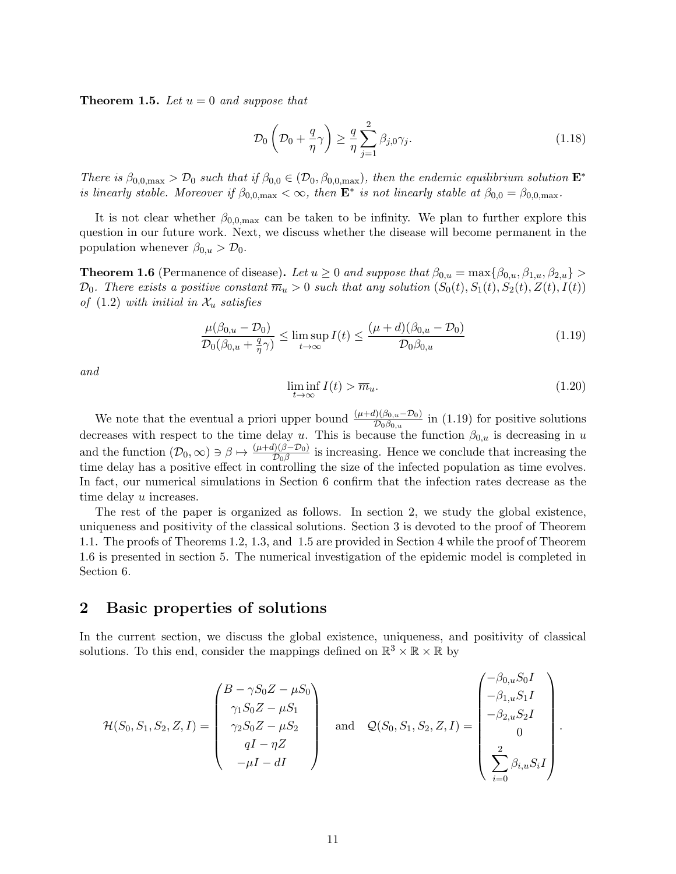**Theorem 1.5.** Let  $u = 0$  and suppose that

$$
\mathcal{D}_0\left(\mathcal{D}_0 + \frac{q}{\eta}\gamma\right) \ge \frac{q}{\eta} \sum_{j=1}^2 \beta_{j,0}\gamma_j.
$$
\n(1.18)

There is  $\beta_{0,0,\text{max}} > D_0$  such that if  $\beta_{0,0} \in (D_0, \beta_{0,0,\text{max}})$ , then the endemic equilibrium solution  $\mathbf{E}^*$ is linearly stable. Moreover if  $\beta_{0,0,\text{max}} < \infty$ , then  $\mathbf{E}^*$  is not linearly stable at  $\beta_{0,0} = \beta_{0,0,\text{max}}$ .

It is not clear whether  $\beta_{0,0,\text{max}}$  can be taken to be infinity. We plan to further explore this question in our future work. Next, we discuss whether the disease will become permanent in the population whenever  $\beta_{0,u} > \mathcal{D}_0$ .

**Theorem 1.6** (Permanence of disease). Let  $u \geq 0$  and suppose that  $\beta_{0,u} = \max{\beta_{0,u}, \beta_{1,u}, \beta_{2,u}}$  $\mathcal{D}_0$ . There exists a positive constant  $\overline{m}_u > 0$  such that any solution  $(S_0(t), S_1(t), S_2(t), Z(t), I(t))$ of  $(1.2)$  with initial in  $\mathcal{X}_u$  satisfies

$$
\frac{\mu(\beta_{0,u} - \mathcal{D}_0)}{\mathcal{D}_0(\beta_{0,u} + \frac{q}{\eta}\gamma)} \le \limsup_{t \to \infty} I(t) \le \frac{(\mu + d)(\beta_{0,u} - \mathcal{D}_0)}{\mathcal{D}_0\beta_{0,u}}\n \tag{1.19}
$$

and

$$
\liminf_{t \to \infty} I(t) > \overline{m}_u. \tag{1.20}
$$

We note that the eventual a priori upper bound  $\frac{(\mu+d)(\beta_{0,u}-\mathcal{D}_0)}{\mathcal{D}_0\beta_{0,u}}$  in (1.19) for positive solutions decreases with respect to the time delay u. This is because the function  $\beta_{0,u}$  is decreasing in u and the function  $(\mathcal{D}_0, \infty) \ni \beta \mapsto \frac{(\mu+d)(\beta-\mathcal{D}_0)}{\mathcal{D}_0\beta}$  is increasing. Hence we conclude that increasing the time delay has a positive effect in controlling the size of the infected population as time evolves. In fact, our numerical simulations in Section 6 confirm that the infection rates decrease as the time delay u increases.

The rest of the paper is organized as follows. In section 2, we study the global existence, uniqueness and positivity of the classical solutions. Section 3 is devoted to the proof of Theorem 1.1. The proofs of Theorems 1.2, 1.3, and 1.5 are provided in Section 4 while the proof of Theorem 1.6 is presented in section 5. The numerical investigation of the epidemic model is completed in Section 6.

## 2 Basic properties of solutions

In the current section, we discuss the global existence, uniqueness, and positivity of classical solutions. To this end, consider the mappings defined on  $\mathbb{R}^3 \times \mathbb{R} \times \mathbb{R}$  by

$$
\mathcal{H}(S_0, S_1, S_2, Z, I) = \begin{pmatrix} B - \gamma S_0 Z - \mu S_0 \\ \gamma_1 S_0 Z - \mu S_1 \\ \gamma_2 S_0 Z - \mu S_2 \\ qI - \eta Z \\ -\mu I - dI \end{pmatrix} \text{ and } \mathcal{Q}(S_0, S_1, S_2, Z, I) = \begin{pmatrix} -\beta_{0,u} S_0 I \\ -\beta_{1,u} S_1 I \\ -\beta_{2,u} S_2 I \\ 0 \\ 0 \\ \sum_{i=0}^{2} \beta_{i,u} S_i I \end{pmatrix}.
$$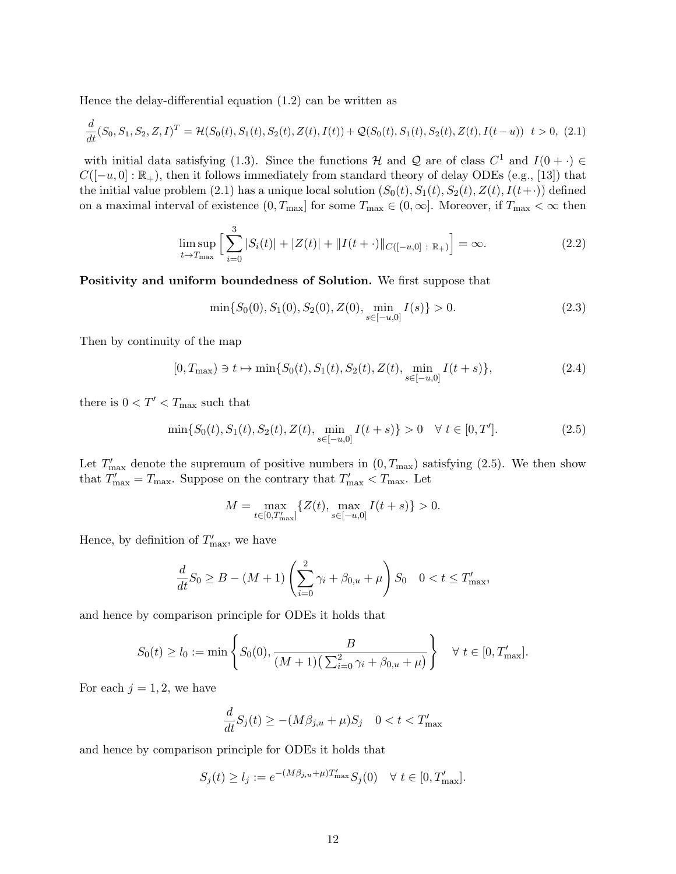Hence the delay-differential equation (1.2) can be written as

$$
\frac{d}{dt}(S_0, S_1, S_2, Z, I)^T = \mathcal{H}(S_0(t), S_1(t), S_2(t), Z(t), I(t)) + \mathcal{Q}(S_0(t), S_1(t), S_2(t), Z(t), I(t-u)) \quad t > 0, \tag{2.1}
$$

with initial data satisfying (1.3). Since the functions H and Q are of class  $C^1$  and  $I(0 + \cdot) \in$  $C([-u, 0]: \mathbb{R}_+)$ , then it follows immediately from standard theory of delay ODEs (e.g., [13]) that the initial value problem (2.1) has a unique local solution  $(S_0(t), S_1(t), S_2(t), Z(t), I(t+·))$  defined on a maximal interval of existence  $(0, T_{\text{max}}]$  for some  $T_{\text{max}} \in (0, \infty]$ . Moreover, if  $T_{\text{max}} < \infty$  then

$$
\limsup_{t \to T_{\text{max}}} \left[ \sum_{i=0}^{3} |S_i(t)| + |Z(t)| + ||I(t + \cdot)||_{C([-u,0]} : \mathbb{R}_+)} \right] = \infty.
$$
\n(2.2)

Positivity and uniform boundedness of Solution. We first suppose that

$$
\min\{S_0(0), S_1(0), S_2(0), Z(0), \min_{s \in [-u, 0]} I(s)\} > 0.
$$
\n(2.3)

Then by continuity of the map

$$
[0, T_{\max}) \ni t \mapsto \min\{S_0(t), S_1(t), S_2(t), Z(t), \min_{s \in [-u, 0]} I(t+s)\},
$$
\n(2.4)

there is  $0 < T' < T_{\rm max}$  such that

$$
\min\{S_0(t), S_1(t), S_2(t), Z(t), \min_{s \in [-u, 0]} I(t+s)\} > 0 \quad \forall \ t \in [0, T']. \tag{2.5}
$$

Let  $T'_{\text{max}}$  denote the supremum of positive numbers in  $(0, T_{\text{max}})$  satisfying  $(2.5)$ . We then show that  $T'_{\text{max}} = T_{\text{max}}$ . Suppose on the contrary that  $T'_{\text{max}} < T_{\text{max}}$ . Let

$$
M = \max_{t \in [0, T'_{\text{max}}]} \{Z(t), \max_{s \in [-u, 0]} I(t+s)\} > 0.
$$

Hence, by definition of  $T'_{\text{max}}$ , we have

$$
\frac{d}{dt}S_0 \ge B - (M+1)\left(\sum_{i=0}^2 \gamma_i + \beta_{0,u} + \mu\right) S_0 \quad 0 < t \le T'_{\text{max}},
$$

and hence by comparison principle for ODEs it holds that

$$
S_0(t) \ge l_0 := \min\left\{ S_0(0), \frac{B}{(M+1)\left(\sum_{i=0}^2 \gamma_i + \beta_{0,u} + \mu\right)} \right\} \quad \forall \ t \in [0, T'_{\text{max}}].
$$

For each  $j = 1, 2$ , we have

$$
\frac{d}{dt}S_j(t) \ge -(M\beta_{j,u} + \mu)S_j \quad 0 < t < T'_{\text{max}}
$$

and hence by comparison principle for ODEs it holds that

$$
S_j(t) \ge l_j := e^{-(M\beta_{j,u} + \mu)T'_{\max}} S_j(0) \quad \forall \ t \in [0, T'_{\max}].
$$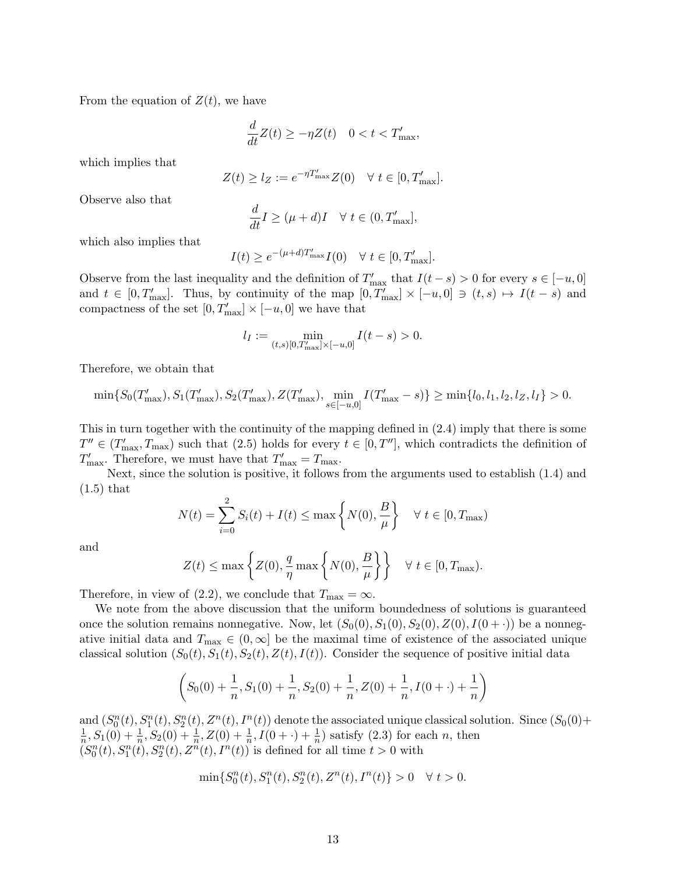From the equation of  $Z(t)$ , we have

$$
\frac{d}{dt}Z(t) \ge -\eta Z(t) \quad 0 < t < T'_{\text{max}},
$$

which implies that

$$
Z(t) \ge l_Z := e^{-\eta T'_{\text{max}}} Z(0) \quad \forall \ t \in [0, T'_{\text{max}}].
$$

Observe also that

$$
\frac{d}{dt}I \geq (\mu + d)I \quad \forall \ t \in (0, T'_{\text{max}}],
$$

which also implies that

$$
I(t) \ge e^{-(\mu+d)T'_{\max}} I(0) \quad \forall \ t \in [0, T'_{\max}].
$$

Observe from the last inequality and the definition of  $T'_{\text{max}}$  that  $I(t-s) > 0$  for every  $s \in [-u, 0]$ and  $t \in [0, T'_{\text{max}}]$ . Thus, by continuity of the map  $[0, T'_{\text{max}}] \times [-u, 0] \ni (t, s) \mapsto I(t - s)$  and compactness of the set  $[0, T'_{\text{max}}] \times [-u, 0]$  we have that

$$
l_I := \min_{(t,s)[0,T'_{\text{max}}] \times [-u,0]} I(t-s) > 0.
$$

Therefore, we obtain that

$$
\min\{S_0(T'_{\max}), S_1(T'_{\max}), S_2(T'_{\max}), Z(T'_{\max}), \min_{s \in [-u,0]} I(T'_{\max} - s)\} \ge \min\{l_0, l_1, l_2, l_2, l_1\} > 0.
$$

This in turn together with the continuity of the mapping defined in (2.4) imply that there is some  $T'' \in (T'_{\text{max}}, T_{\text{max}})$  such that (2.5) holds for every  $t \in [0, T'']$ , which contradicts the definition of  $T'_{\text{max}}$ . Therefore, we must have that  $T'_{\text{max}} = T_{\text{max}}$ .

Next, since the solution is positive, it follows from the arguments used to establish (1.4) and  $(1.5)$  that

$$
N(t) = \sum_{i=0}^{2} S_i(t) + I(t) \le \max\left\{ N(0), \frac{B}{\mu} \right\} \quad \forall \ t \in [0, T_{\text{max}})
$$

and

$$
Z(t) \le \max\left\{ Z(0), \frac{q}{\eta} \max\left\{ N(0), \frac{B}{\mu} \right\} \right\} \quad \forall \ t \in [0, T_{\text{max}}).
$$

Therefore, in view of (2.2), we conclude that  $T_{\text{max}} = \infty$ .

We note from the above discussion that the uniform boundedness of solutions is guaranteed once the solution remains nonnegative. Now, let  $(S_0(0), S_1(0), S_2(0), Z(0), I(0+\cdot))$  be a nonnegative initial data and  $T_{\text{max}} \in (0,\infty]$  be the maximal time of existence of the associated unique classical solution  $(S_0(t), S_1(t), S_2(t), Z(t), I(t))$ . Consider the sequence of positive initial data

$$
\left(S_0(0) + \frac{1}{n}, S_1(0) + \frac{1}{n}, S_2(0) + \frac{1}{n}, Z(0) + \frac{1}{n}, I(0 + \cdot) + \frac{1}{n}\right)
$$

and  $(S_0^n(t), S_1^n(t), S_2^n(t), Z^n(t), I^n(t))$  denote the associated unique classical solution. Since  $(S_0(0) +$ 1  $\frac{1}{n}$ ,  $S_1(0) + \frac{1}{n}$ ,  $S_2(0) + \frac{1}{n}$ ,  $Z(0) + \frac{1}{n}$ ,  $I(0 + \cdot) + \frac{1}{n}$  satisfy (2.3) for each *n*, then  $(S_0^n(t), S_1^n(t), S_2^n(t), Z^n(t), I^n(t))$  is defined for all time  $t > 0$  with

$$
\min\{S^n_0(t),S^n_1(t),S^n_2(t),Z^n(t),I^n(t)\}>0 \quad \forall\; t>0.
$$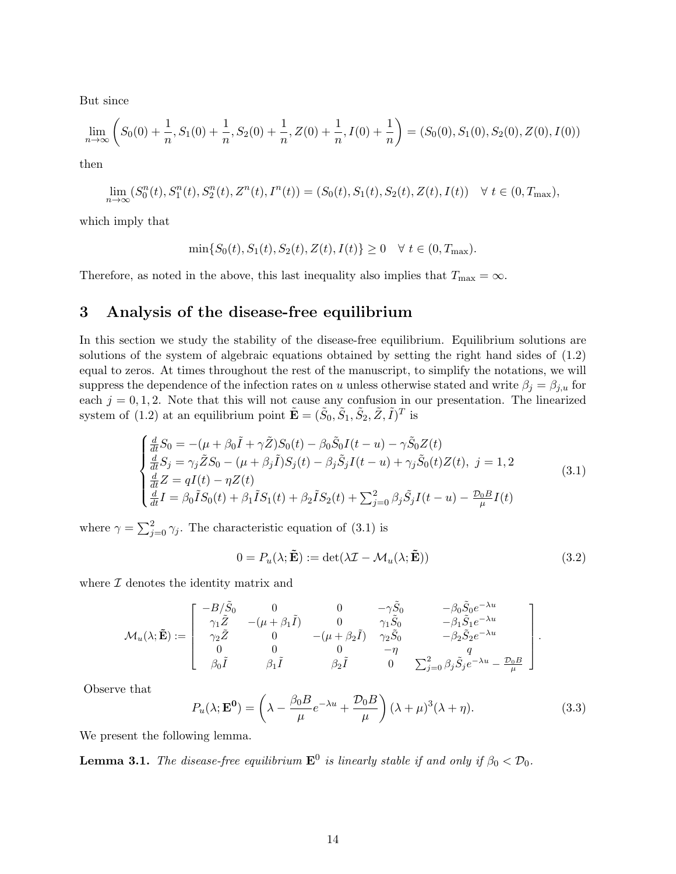But since

$$
\lim_{n \to \infty} \left( S_0(0) + \frac{1}{n}, S_1(0) + \frac{1}{n}, S_2(0) + \frac{1}{n}, Z(0) + \frac{1}{n}, I(0) + \frac{1}{n} \right) = (S_0(0), S_1(0), S_2(0), Z(0), I(0))
$$

then

$$
\lim_{n \to \infty} (S_0^n(t), S_1^n(t), S_2^n(t), Z^n(t), I^n(t)) = (S_0(t), S_1(t), S_2(t), Z(t), I(t)) \quad \forall \ t \in (0, T_{\text{max}}),
$$

which imply that

$$
\min\{S_0(t), S_1(t), S_2(t), Z(t), I(t)\} \ge 0 \quad \forall \ t \in (0, T_{\max}).
$$

Therefore, as noted in the above, this last inequality also implies that  $T_{\text{max}} = \infty$ .

## 3 Analysis of the disease-free equilibrium

In this section we study the stability of the disease-free equilibrium. Equilibrium solutions are solutions of the system of algebraic equations obtained by setting the right hand sides of (1.2) equal to zeros. At times throughout the rest of the manuscript, to simplify the notations, we will suppress the dependence of the infection rates on u unless otherwise stated and write  $\beta_i = \beta_{i,u}$  for each  $j = 0, 1, 2$ . Note that this will not cause any confusion in our presentation. The linearized system of (1.2) at an equilibrium point  $\tilde{\mathbf{E}} = (\tilde{S}_0, \tilde{S}_1, \tilde{S}_2, \tilde{Z}, \tilde{I})^T$  is

$$
\begin{cases}\n\frac{d}{dt}S_0 = -(\mu + \beta_0 \tilde{I} + \gamma \tilde{Z})S_0(t) - \beta_0 \tilde{S}_0 I(t - u) - \gamma \tilde{S}_0 Z(t) \\
\frac{d}{dt}S_j = \gamma_j \tilde{Z}S_0 - (\mu + \beta_j \tilde{I})S_j(t) - \beta_j \tilde{S}_j I(t - u) + \gamma_j \tilde{S}_0(t) Z(t), \ j = 1, 2 \\
\frac{d}{dt}Z = qI(t) - \eta Z(t) \\
\frac{d}{dt}I = \beta_0 \tilde{I}S_0(t) + \beta_1 \tilde{I}S_1(t) + \beta_2 \tilde{I}S_2(t) + \sum_{j=0}^2 \beta_j \tilde{S}_j I(t - u) - \frac{\mathcal{D}_0 B}{\mu} I(t)\n\end{cases}
$$
\n(3.1)

where  $\gamma = \sum_{j=0}^{2} \gamma_j$ . The characteristic equation of (3.1) is

$$
0 = P_u(\lambda; \tilde{\mathbf{E}}) := \det(\lambda \mathcal{I} - \mathcal{M}_u(\lambda; \tilde{\mathbf{E}}))
$$
\n(3.2)

where  $I$  denotes the identity matrix and

$$
\mathcal{M}_{u}(\lambda;\tilde{\mathbf{E}}):=\left[\begin{array}{cccc} -B/\tilde{S}_{0} & 0 & 0 & -\gamma\tilde{S}_{0} & -\beta_{0}\tilde{S}_{0}e^{-\lambda u} \\ \gamma_{1}\tilde{Z} & -(\mu+\beta_{1}\tilde{I}) & 0 & \gamma_{1}\tilde{S}_{0} & -\beta_{1}\tilde{S}_{1}e^{-\lambda u} \\ \gamma_{2}\tilde{Z} & 0 & -(\mu+\beta_{2}\tilde{I}) & \gamma_{2}\tilde{S}_{0} & -\beta_{2}\tilde{S}_{2}e^{-\lambda u} \\ 0 & 0 & 0 & -\eta & q \\ \beta_{0}\tilde{I} & \beta_{1}\tilde{I} & \beta_{2}\tilde{I} & 0 & \sum_{j=0}^{2}\beta_{j}\tilde{S}_{j}e^{-\lambda u} - \frac{\mathcal{D}_{0}B}{\mu} \end{array}\right].
$$

Observe that

$$
P_u(\lambda; \mathbf{E^0}) = \left(\lambda - \frac{\beta_0 B}{\mu} e^{-\lambda u} + \frac{\mathcal{D}_0 B}{\mu}\right) (\lambda + \mu)^3 (\lambda + \eta). \tag{3.3}
$$

We present the following lemma.

**Lemma 3.1.** The disease-free equilibrium  $\mathbf{E}^0$  is linearly stable if and only if  $\beta_0 < \mathcal{D}_0$ .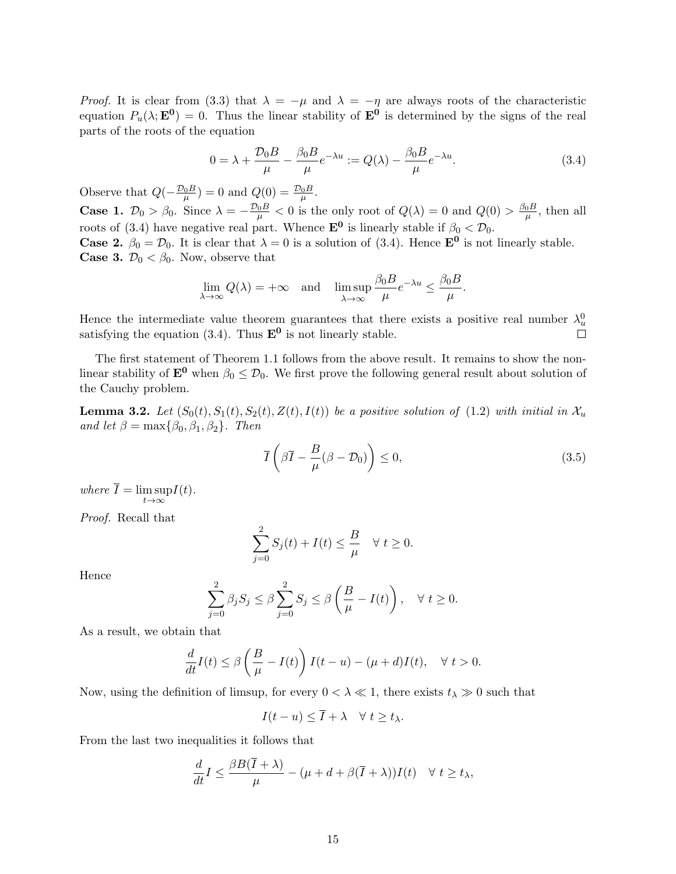*Proof.* It is clear from (3.3) that  $\lambda = -\mu$  and  $\lambda = -\eta$  are always roots of the characteristic equation  $P_u(\lambda; \mathbf{E^0}) = 0$ . Thus the linear stability of  $\mathbf{E^0}$  is determined by the signs of the real parts of the roots of the equation

$$
0 = \lambda + \frac{\mathcal{D}_0 B}{\mu} - \frac{\beta_0 B}{\mu} e^{-\lambda u} := Q(\lambda) - \frac{\beta_0 B}{\mu} e^{-\lambda u}.
$$
 (3.4)

Observe that  $Q(-\frac{\mathcal{D}_0 B}{\mu}) = 0$  and  $Q(0) = \frac{\mathcal{D}_0 B}{\mu}$ . **Case 1.**  $\mathcal{D}_0 > \beta_0$ . Since  $\lambda = -\frac{\mathcal{D}_0 B}{\mu} < 0$  is the only root of  $Q(\lambda) = 0$  and  $Q(0) > \frac{\beta_0 B}{\mu}$  $\frac{0}{\mu}$ , then all roots of (3.4) have negative real part. Whence  $\mathbf{E}^0$  is linearly stable if  $\beta_0 < \mathcal{D}_0$ . **Case 2.**  $\beta_0 = \mathcal{D}_0$ . It is clear that  $\lambda = 0$  is a solution of (3.4). Hence  $\mathbf{E}^0$  is not linearly stable. **Case 3.**  $\mathcal{D}_0 < \beta_0$ . Now, observe that

$$
\lim_{\lambda \to \infty} Q(\lambda) = +\infty \quad \text{and} \quad \limsup_{\lambda \to \infty} \frac{\beta_0 B}{\mu} e^{-\lambda u} \le \frac{\beta_0 B}{\mu}.
$$

Hence the intermediate value theorem guarantees that there exists a positive real number  $\lambda_u^0$ satisfying the equation (3.4). Thus  $\mathbf{E}^0$  is not linearly stable.  $\Box$ 

The first statement of Theorem 1.1 follows from the above result. It remains to show the nonlinear stability of  $\mathbf{E}^0$  when  $\beta_0 \leq \mathcal{D}_0$ . We first prove the following general result about solution of the Cauchy problem.

**Lemma 3.2.** Let  $(S_0(t), S_1(t), S_2(t), Z(t), I(t))$  be a positive solution of (1.2) with initial in  $\mathcal{X}_u$ and let  $\beta = \max{\beta_0, \beta_1, \beta_2}$ . Then

$$
\overline{I}\left(\beta\overline{I} - \frac{B}{\mu}(\beta - \mathcal{D}_0)\right) \le 0,\tag{3.5}
$$

where  $I = \limsup$  $t\rightarrow\infty$  $I(t).$ 

Proof. Recall that

$$
\sum_{j=0}^{2} S_j(t) + I(t) \le \frac{B}{\mu} \quad \forall \ t \ge 0.
$$

Hence

$$
\sum_{j=0}^{2} \beta_j S_j \le \beta \sum_{j=0}^{2} S_j \le \beta \left(\frac{B}{\mu} - I(t)\right), \quad \forall \ t \ge 0.
$$

As a result, we obtain that

$$
\frac{d}{dt}I(t) \le \beta \left(\frac{B}{\mu} - I(t)\right)I(t - u) - (\mu + d)I(t), \quad \forall \ t > 0.
$$

Now, using the definition of limsup, for every  $0 < \lambda \ll 1$ , there exists  $t_{\lambda} \gg 0$  such that

$$
I(t-u) \leq I + \lambda \quad \forall \ t \geq t_{\lambda}.
$$

From the last two inequalities it follows that

$$
\frac{d}{dt}I \le \frac{\beta B(\overline{I} + \lambda)}{\mu} - (\mu + d + \beta(\overline{I} + \lambda))I(t) \quad \forall \ t \ge t_{\lambda},
$$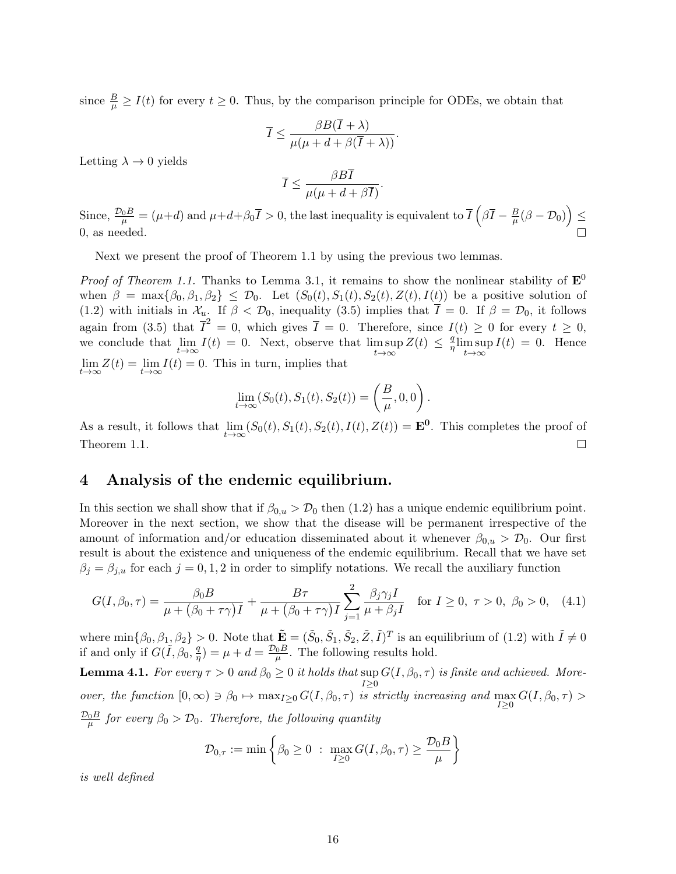since  $\frac{B}{\mu} \ge I(t)$  for every  $t \ge 0$ . Thus, by the comparison principle for ODEs, we obtain that

$$
\overline{I} \le \frac{\beta B(\overline{I} + \lambda)}{\mu(\mu + d + \beta(\overline{I} + \lambda))}.
$$

Letting  $\lambda \to 0$  yields

$$
\overline{I} \le \frac{\beta B \overline{I}}{\mu(\mu + d + \beta \overline{I})}.
$$

Since,  $\frac{\mathcal{D}_0 B}{\mu} = (\mu + d)$  and  $\mu + d + \beta_0 \overline{I} > 0$ , the last inequality is equivalent to  $\overline{I}(\beta \overline{I} - \frac{B}{\mu})$  $\frac{B}{\mu}(\beta-\mathcal{D}_0)\Big)\leq$ 0, as needed.

Next we present the proof of Theorem 1.1 by using the previous two lemmas.

*Proof of Theorem 1.1.* Thanks to Lemma 3.1, it remains to show the nonlinear stability of  $\mathbf{E}^0$ when  $\beta = \max{\beta_0, \beta_1, \beta_2} \leq \mathcal{D}_0$ . Let  $(S_0(t), S_1(t), S_2(t), Z(t), I(t))$  be a positive solution of (1.2) with initials in  $\mathcal{X}_u$ . If  $\beta < \mathcal{D}_0$ , inequality (3.5) implies that  $\overline{I} = 0$ . If  $\beta = \mathcal{D}_0$ , it follows again from (3.5) that  $\overline{I}^2 = 0$ , which gives  $\overline{I} = 0$ . Therefore, since  $I(t) \geq 0$  for every  $t \geq 0$ , we conclude that  $\lim_{t\to\infty} I(t) = 0$ . Next, observe that  $\limsup_{t\to\infty} I(t)$  $t\rightarrow\infty$  $Z(t) \leq \frac{q}{n}$  $\frac{q}{\eta}$ lim sup  $t\rightarrow\infty$  $I(t) = 0$ . Hence  $\lim_{t \to \infty} Z(t) = \lim_{t \to \infty} I(t) = 0$ . This in turn, implies that

$$
\lim_{t \to \infty} (S_0(t), S_1(t), S_2(t)) = \left(\frac{B}{\mu}, 0, 0\right).
$$

As a result, it follows that  $\lim_{t\to\infty} (S_0(t), S_1(t), S_2(t), I(t), Z(t)) = \mathbf{E}^0$ . This completes the proof of  $\Box$ Theorem 1.1.

### 4 Analysis of the endemic equilibrium.

In this section we shall show that if  $\beta_{0,u} > \mathcal{D}_0$  then (1.2) has a unique endemic equilibrium point. Moreover in the next section, we show that the disease will be permanent irrespective of the amount of information and/or education disseminated about it whenever  $\beta_{0,u} > \mathcal{D}_0$ . Our first result is about the existence and uniqueness of the endemic equilibrium. Recall that we have set  $\beta_j = \beta_{j,u}$  for each  $j = 0, 1, 2$  in order to simplify notations. We recall the auxiliary function

$$
G(I, \beta_0, \tau) = \frac{\beta_0 B}{\mu + (\beta_0 + \tau \gamma)I} + \frac{B\tau}{\mu + (\beta_0 + \tau \gamma)I} \sum_{j=1}^2 \frac{\beta_j \gamma_j I}{\mu + \beta_j I} \quad \text{for } I \ge 0, \ \tau > 0, \ \beta_0 > 0, \tag{4.1}
$$

where  $\min\{\beta_0, \beta_1, \beta_2\} > 0$ . Note that  $\tilde{\mathbf{E}} = (\tilde{S}_0, \tilde{S}_1, \tilde{S}_2, \tilde{Z}, \tilde{I})^T$  is an equilibrium of  $(1.2)$  with  $\tilde{I} \neq 0$ if and only if  $G(\tilde{I}, \beta_0, \frac{q}{n})$  $\frac{q}{\eta}$ ) =  $\mu + d = \frac{\mathcal{D}_0 B}{\mu}$ . The following results hold.

**Lemma 4.1.** For every  $\tau > 0$  and  $\beta_0 \geq 0$  it holds that  $\sup G(I, \beta_0, \tau)$  is finite and achieved. More- $I \geq 0$ over, the function  $[0, \infty) \ni \beta_0 \mapsto \max_{I \geq 0} G(I, \beta_0, \tau)$  is strictly increasing and  $\max_{I \geq 0} G(I, \beta_0, \tau) >$  $\frac{\mathcal{D}_0 B}{\mu}$  for every  $\beta_0 > \mathcal{D}_0$ . Therefore, the following quantity

$$
\mathcal{D}_{0,\tau} := \min \left\{ \beta_0 \geq 0 \; : \; \max_{I \geq 0} G(I, \beta_0, \tau) \geq \frac{\mathcal{D}_0 B}{\mu} \right\}
$$

is well defined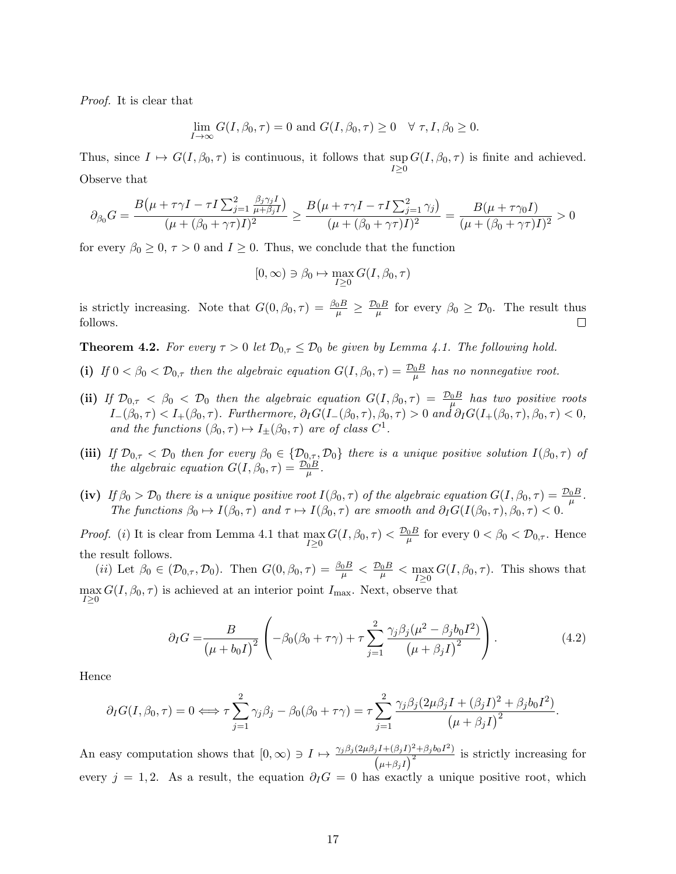Proof. It is clear that

$$
\lim_{I \to \infty} G(I, \beta_0, \tau) = 0 \text{ and } G(I, \beta_0, \tau) \ge 0 \quad \forall \tau, I, \beta_0 \ge 0.
$$

Thus, since  $I \mapsto G(I, \beta_0, \tau)$  is continuous, it follows that  $\sup_{I \geq 0} G(I, \beta_0, \tau)$  is finite and achieved. Observe that

$$
\partial_{\beta_0} G = \frac{B(\mu + \tau \gamma I - \tau I \sum_{j=1}^2 \frac{\beta_j \gamma_j I}{\mu + \beta_j I})}{(\mu + (\beta_0 + \gamma \tau)I)^2} \ge \frac{B(\mu + \tau \gamma I - \tau I \sum_{j=1}^2 \gamma_j)}{(\mu + (\beta_0 + \gamma \tau)I)^2} = \frac{B(\mu + \tau \gamma_0 I)}{(\mu + (\beta_0 + \gamma \tau)I)^2} > 0
$$

for every  $\beta_0 \geq 0$ ,  $\tau > 0$  and  $I \geq 0$ . Thus, we conclude that the function

$$
[0,\infty) \ni \beta_0 \mapsto \max_{I \geq 0} G(I, \beta_0, \tau)
$$

is strictly increasing. Note that  $G(0, \beta_0, \tau) = \frac{\beta_0 B}{\mu} \ge \frac{\mathcal{D}_0 B}{\mu}$  for every  $\beta_0 \ge \mathcal{D}_0$ . The result thus follows.  $\Box$ 

**Theorem 4.2.** For every  $\tau > 0$  let  $\mathcal{D}_{0,\tau} \leq \mathcal{D}_0$  be given by Lemma 4.1. The following hold.

- (i) If  $0 < \beta_0 < \mathcal{D}_{0,\tau}$  then the algebraic equation  $G(I, \beta_0, \tau) = \frac{\mathcal{D}_0 B}{\mu}$  has no nonnegative root.
- (ii) If  $\mathcal{D}_{0,\tau} < \beta_0 < \mathcal{D}_0$  then the algebraic equation  $G(I,\beta_0,\tau) = \frac{\mathcal{D}_0 B}{\mu}$  has two positive roots  $I_{-}(\beta_0, \tau) < I_{+}(\beta_0, \tau)$ . Furthermore,  $\partial_I G(I_{-}(\beta_0, \tau), \beta_0, \tau) > 0$  and  $\partial_I G(I_{+}(\beta_0, \tau), \beta_0, \tau) < 0$ , and the functions  $(\beta_0, \tau) \mapsto I_{\pm}(\beta_0, \tau)$  are of class  $C^1$ .
- (iii) If  $\mathcal{D}_{0,\tau} < \mathcal{D}_0$  then for every  $\beta_0 \in \{\mathcal{D}_{0,\tau}, \mathcal{D}_0\}$  there is a unique positive solution  $I(\beta_0, \tau)$  of the algebraic equation  $G(I, \beta_0, \tau) = \frac{\mathcal{D}_0 B}{\mu}$ .
- (iv) If  $\beta_0 > \mathcal{D}_0$  there is a unique positive root  $I(\beta_0, \tau)$  of the algebraic equation  $G(I, \beta_0, \tau) = \frac{\mathcal{D}_0 B}{\mu}$ . The functions  $\beta_0 \mapsto I(\beta_0, \tau)$  and  $\tau \mapsto I(\beta_0, \tau)$  are smooth and  $\partial_I G(I(\beta_0, \tau), \beta_0, \tau) < 0$ .

*Proof.* (i) It is clear from Lemma 4.1 that  $\max_{I\geq 0} G(I, \beta_0, \tau) < \frac{\mathcal{D}_0 B}{\mu}$  for every  $0 < \beta_0 < \mathcal{D}_{0,\tau}$ . Hence the result follows.

(*ii*) Let  $\beta_0 \in (\mathcal{D}_{0,\tau}, \mathcal{D}_0)$ . Then  $G(0, \beta_0, \tau) = \frac{\beta_0 B}{\mu} < \frac{\mathcal{D}_0 B}{\mu} < \frac{\mathcal{D}_0 B}{\mu} < \frac{\mathcal{D}_0}{\mu}$ . This shows that  $\max_{I\geq 0} G(I, \beta_0, \tau)$  is achieved at an interior point  $I_{\text{max}}$ . Next, observe that

$$
\partial_I G = \frac{B}{(\mu + b_0 I)^2} \left( -\beta_0 (\beta_0 + \tau \gamma) + \tau \sum_{j=1}^2 \frac{\gamma_j \beta_j (\mu^2 - \beta_j b_0 I^2)}{(\mu + \beta_j I)^2} \right). \tag{4.2}
$$

Hence

$$
\partial_I G(I, \beta_0, \tau) = 0 \Longleftrightarrow \tau \sum_{j=1}^2 \gamma_j \beta_j - \beta_0 (\beta_0 + \tau \gamma) = \tau \sum_{j=1}^2 \frac{\gamma_j \beta_j (2\mu \beta_j I + (\beta_j I)^2 + \beta_j b_0 I^2)}{(\mu + \beta_j I)^2}.
$$

An easy computation shows that  $[0, \infty) \ni I \mapsto \frac{\gamma_j \beta_j (2\mu \beta_j I + (\beta_j I)^2 + \beta_j b_0 I^2)}{\sqrt{2}}$  $\frac{jI+(\beta_jI)+\beta_j\omega_0I}{(\mu+\beta_jI)^2}$  is strictly increasing for every  $j = 1, 2$ . As a result, the equation  $\partial_{I}G = 0$  has exactly a unique positive root, which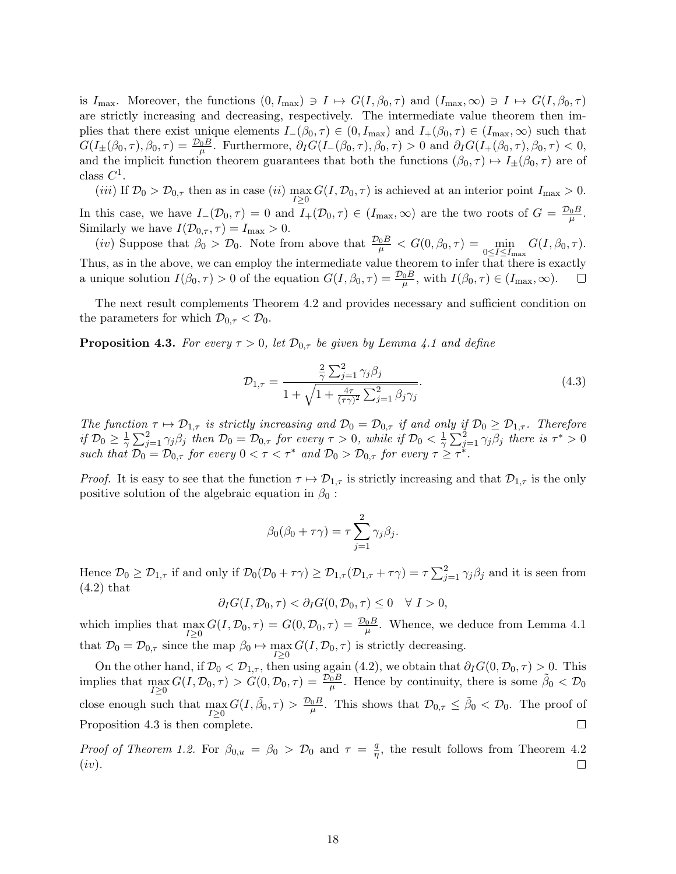is  $I_{\text{max}}$ . Moreover, the functions  $(0, I_{\text{max}}) \ni I \mapsto G(I, \beta_0, \tau)$  and  $(I_{\text{max}} \infty) \ni I \mapsto G(I, \beta_0, \tau)$ are strictly increasing and decreasing, respectively. The intermediate value theorem then implies that there exist unique elements  $I_{-}(\beta_0, \tau) \in (0, I_{\max})$  and  $I_{+}(\beta_0, \tau) \in (I_{\max}, \infty)$  such that  $G(I_{\pm}(\beta_0, \tau), \beta_0, \tau) = \frac{\mathcal{D}_0 B}{\mu}$ . Furthermore,  $\partial_I G(I_{-}(\beta_0, \tau), \beta_0, \tau) > 0$  and  $\partial_I G(I_{+}(\beta_0, \tau), \beta_0, \tau) < 0$ , and the implicit function theorem guarantees that both the functions  $(\beta_0, \tau) \mapsto I_{\pm}(\beta_0, \tau)$  are of class  $C^1$ .

(*iii*) If  $\mathcal{D}_0 > \mathcal{D}_{0,\tau}$  then as in case (*ii*)  $\max_{I \geq 0} G(I, \mathcal{D}_0, \tau)$  is achieved at an interior point  $I_{\max} > 0$ . In this case, we have  $I_-(\mathcal{D}_0, \tau) = 0$  and  $I_+(\mathcal{D}_0, \tau) \in (I_{\max}, \infty)$  are the two roots of  $G = \frac{\mathcal{D}_0 B}{\mu}$ . Similarly we have  $I(\mathcal{D}_{0,\tau}, \tau) = I_{\text{max}} > 0$ .

(*iv*) Suppose that  $\beta_0 > \mathcal{D}_0$ . Note from above that  $\frac{\mathcal{D}_0 B}{\mu} < G(0, \beta_0, \tau) = \min_{0 \leq I \leq I_{\text{max}}} G(I, \beta_0, \tau)$ . Thus, as in the above, we can employ the intermediate value theorem to infer that there is exactly a unique solution  $I(\beta_0, \tau) > 0$  of the equation  $G(I, \beta_0, \tau) = \frac{\mathcal{D}_0 B}{\mu}$ , with  $I(\beta_0, \tau) \in (I_{\max}, \infty)$ .

The next result complements Theorem 4.2 and provides necessary and sufficient condition on the parameters for which  $\mathcal{D}_{0,\tau} < \mathcal{D}_0$ .

**Proposition 4.3.** For every  $\tau > 0$ , let  $\mathcal{D}_{0,\tau}$  be given by Lemma 4.1 and define

$$
\mathcal{D}_{1,\tau} = \frac{\frac{2}{\gamma} \sum_{j=1}^{2} \gamma_j \beta_j}{1 + \sqrt{1 + \frac{4\tau}{(\tau \gamma)^2} \sum_{j=1}^{2} \beta_j \gamma_j}}.
$$
\n(4.3)

The function  $\tau \mapsto \mathcal{D}_{1,\tau}$  is strictly increasing and  $\mathcal{D}_0 = \mathcal{D}_{0,\tau}$  if and only if  $\mathcal{D}_0 \geq \mathcal{D}_{1,\tau}$ . Therefore if  $\mathcal{D}_0 \geq \frac{1}{\gamma}$  $\frac{1}{\gamma}\sum_{j=1}^{2}\gamma_{j}\beta_{j}$  then  $\mathcal{D}_{0}=\mathcal{D}_{0,\tau}$  for every  $\tau>0$ , while if  $\mathcal{D}_{0}<\frac{1}{\gamma}$  $\frac{1}{\gamma} \sum_{j=1}^{2} \gamma_j \beta_j$  there is  $\tau^* > 0$ such that  $\mathcal{D}_0 = \mathcal{D}_{0,\tau}$  for every  $0 < \tau < \tau^*$  and  $\mathcal{D}_0 > \mathcal{D}_{0,\tau}$  for every  $\tau \geq \tau^*$ .

*Proof.* It is easy to see that the function  $\tau \mapsto \mathcal{D}_{1,\tau}$  is strictly increasing and that  $\mathcal{D}_{1,\tau}$  is the only positive solution of the algebraic equation in  $\beta_0$ :

$$
\beta_0(\beta_0 + \tau \gamma) = \tau \sum_{j=1}^2 \gamma_j \beta_j.
$$

Hence  $\mathcal{D}_0 \ge \mathcal{D}_{1,\tau}$  if and only if  $\mathcal{D}_0(\mathcal{D}_0 + \tau \gamma) \ge \mathcal{D}_{1,\tau}(\mathcal{D}_{1,\tau} + \tau \gamma) = \tau \sum_{j=1}^2 \gamma_j \beta_j$  and it is seen from (4.2) that

$$
\partial_I G(I, \mathcal{D}_0, \tau) < \partial_I G(0, \mathcal{D}_0, \tau) \leq 0 \quad \forall \ I > 0,
$$

which implies that  $\max_{I\geq 0} G(I, \mathcal{D}_0, \tau) = G(0, \mathcal{D}_0, \tau) = \frac{\mathcal{D}_0 B}{\mu}$ . Whence, we deduce from Lemma 4.1 that  $\mathcal{D}_0 = \mathcal{D}_{0,\tau}$  since the map  $\beta_0 \mapsto \max_{I \geq 0} G(I, \mathcal{D}_0, \tau)$  is strictly decreasing.

On the other hand, if  $\mathcal{D}_0 < \mathcal{D}_{1,\tau}$ , then using again (4.2), we obtain that  $\partial_I G(0,\mathcal{D}_0,\tau) > 0$ . This implies that  $\max_{I\geq 0} G(I, \mathcal{D}_0, \tau) > \hat{G}(0, \mathcal{D}_0, \tau) = \frac{\mathcal{D}_0 B}{\mu}$ . Hence by continuity, there is some  $\tilde{\beta}_0 < \mathcal{D}_0$ close enough such that  $\max_{I\geq 0} G(I, \tilde{\beta}_0, \tau) > \frac{\mathcal{D}_0 B}{\mu}$ . This shows that  $\mathcal{D}_{0,\tau} \leq \tilde{\beta}_0 < \mathcal{D}_0$ . The proof of Proposition 4.3 is then complete.  $\Box$ 

*Proof of Theorem 1.2.* For  $\beta_{0,u} = \beta_0 > \mathcal{D}_0$  and  $\tau = \frac{q}{n}$  $\frac{q}{\eta}$ , the result follows from Theorem 4.2  $(iv).$  $\Box$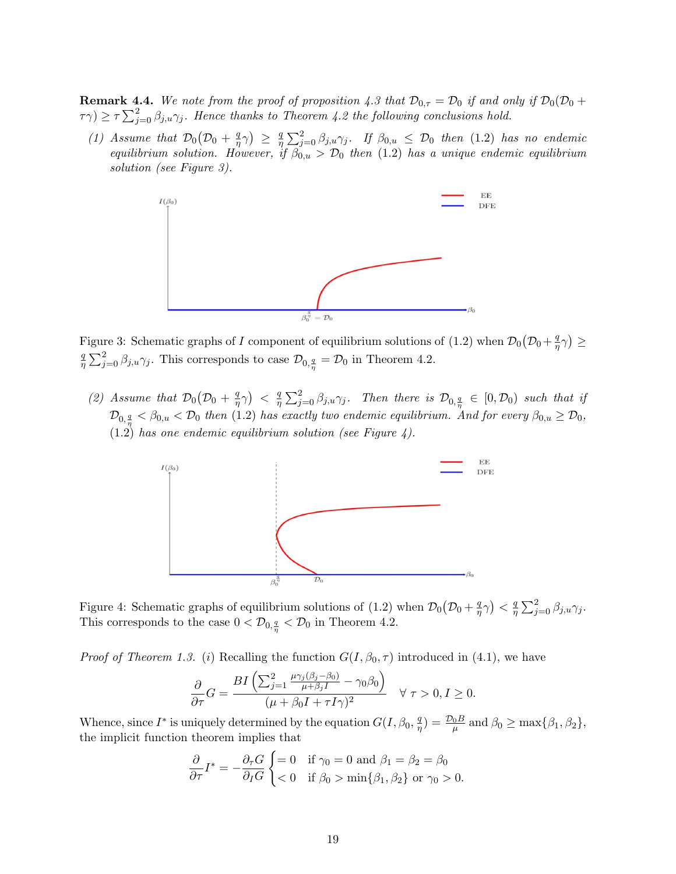**Remark 4.4.** We note from the proof of proposition 4.3 that  $\mathcal{D}_{0,\tau} = \mathcal{D}_0$  if and only if  $\mathcal{D}_0(\mathcal{D}_0 + \mathcal{D}_0(\mathcal{D}_0))$  $\tau(\tau) \geq \tau \sum_{j=0}^2 \beta_{j,u} \gamma_j$ . Hence thanks to Theorem 4.2 the following conclusions hold.

(1) Assume that  $\mathcal{D}_0(\mathcal{D}_0 + \frac{q}{n})$  $\frac{q}{\eta} \gamma$   $\geq \frac{q}{\eta}$  $\frac{q}{\eta}\sum_{j=0}^2\beta_{j,u}\gamma_j$ . If  $\beta_{0,u}\ \le\ \mathcal{D}_0$  then  $(1.2)$  has no endemic equilibrium solution. However, if  $\beta_{0,u} > \mathcal{D}_0$  then (1.2) has a unique endemic equilibrium solution (see Figure 3).



Figure 3: Schematic graphs of I component of equilibrium solutions of (1.2) when  $\mathcal{D}_0(\mathcal{D}_0 + \frac{q}{n})$  $\frac{q}{\eta}\gamma$ )  $\geq$ q  $\frac{q}{\eta} \sum_{j=0}^{2} \beta_{j,u} \gamma_j$ . This corresponds to case  $\mathcal{D}_{0,\frac{q}{\eta}} = \mathcal{D}_0$  in Theorem 4.2.

(2) Assume that  $\mathcal{D}_0(\mathcal{D}_0 + \frac{q}{n})$  $\left(\frac{q}{\eta}\gamma\right) < \frac{q}{\eta}$  $\frac{q}{\eta}\sum_{j=0}^2\beta_{j,u}\gamma_j$ . Then there is  $\mathcal{D}_{0,\frac{q}{\eta}}\,\in\,\left[0,\mathcal{D}_0\right)$  such that if  $\mathcal{D}_{0,\frac{q}{\eta}} < \beta_{0,u} < \mathcal{D}_0$  then (1.2) has exactly two endemic equilibrium. And for every  $\beta_{0,u} \geq \mathcal{D}_0$ ,  $(1.2)$  has one endemic equilibrium solution (see Figure 4).



Figure 4: Schematic graphs of equilibrium solutions of (1.2) when  $\mathcal{D}_0(\mathcal{D}_0 + \frac{q}{n})$  $\left(\frac{q}{\eta}\gamma\right) < \frac{q}{\eta}$  $\frac{q}{\eta} \sum_{j=0}^{2} \beta_{j,u} \gamma_j.$ This corresponds to the case  $0 < \mathcal{D}_{0, \frac{q}{\eta}} < \mathcal{D}_0$  in Theorem 4.2.

*Proof of Theorem 1.3.* (i) Recalling the function  $G(I, \beta_0, \tau)$  introduced in (4.1), we have

$$
\frac{\partial}{\partial \tau}G = \frac{BI\left(\sum_{j=1}^2 \frac{\mu\gamma_j(\beta_j - \beta_0)}{\mu + \beta_j I} - \gamma_0 \beta_0\right)}{(\mu + \beta_0 I + \tau I\gamma)^2} \quad \forall \ \tau > 0, I \ge 0.
$$

Whence, since  $I^*$  is uniquely determined by the equation  $G(I, \beta_0, \frac{q}{n})$  $\frac{q}{\eta}$ ) =  $\frac{\mathcal{D}_0 B}{\mu}$  and  $\beta_0 \ge \max{\{\beta_1, \beta_2\}},$ the implicit function theorem implies that

$$
\frac{\partial}{\partial \tau} I^* = -\frac{\partial_\tau G}{\partial_I G} \begin{cases} = 0 & \text{if } \gamma_0 = 0 \text{ and } \beta_1 = \beta_2 = \beta_0 \\ < 0 & \text{if } \beta_0 > \min\{\beta_1, \beta_2\} \text{ or } \gamma_0 > 0. \end{cases}
$$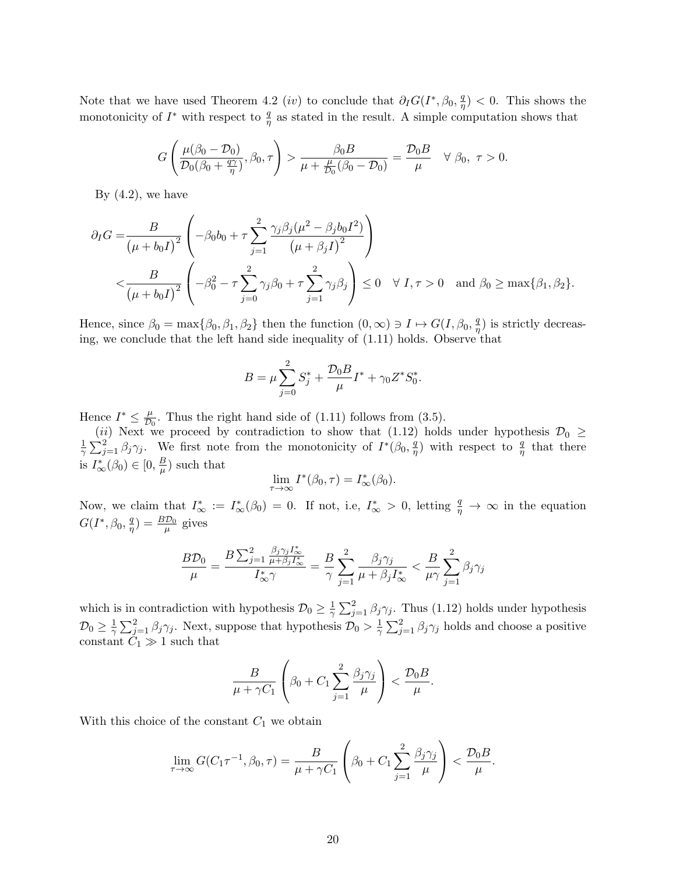Note that we have used Theorem 4.2 (*iv*) to conclude that  $\partial_I G(I^*, \beta_0, \frac{q}{n})$  $(\frac{q}{\eta})$  < 0. This shows the monotonicity of  $I^*$  with respect to  $\frac{q}{\eta}$  as stated in the result. A simple computation shows that

$$
G\left(\frac{\mu(\beta_0-\mathcal{D}_0)}{\mathcal{D}_0(\beta_0+\frac{q\gamma}{\eta})},\beta_0,\tau\right) > \frac{\beta_0 B}{\mu+\frac{\mu}{\mathcal{D}_0}(\beta_0-\mathcal{D}_0)} = \frac{\mathcal{D}_0 B}{\mu} \quad \forall \beta_0, \ \tau > 0.
$$

By  $(4.2)$ , we have

$$
\partial_I G = \frac{B}{(\mu + b_0 I)^2} \left( -\beta_0 b_0 + \tau \sum_{j=1}^2 \frac{\gamma_j \beta_j (\mu^2 - \beta_j b_0 I^2)}{(\mu + \beta_j I)^2} \right)
$$
  

$$
< \frac{B}{(\mu + b_0 I)^2} \left( -\beta_0^2 - \tau \sum_{j=0}^2 \gamma_j \beta_0 + \tau \sum_{j=1}^2 \gamma_j \beta_j \right) \le 0 \quad \forall I, \tau > 0 \quad \text{and } \beta_0 \ge \max\{\beta_1, \beta_2\}.
$$

Hence, since  $\beta_0 = \max{\beta_0, \beta_1, \beta_2}$  then the function  $(0, \infty) \ni I \mapsto G(I, \beta_0, \frac{q}{n})$  $(\frac{q}{\eta})$  is strictly decreasing, we conclude that the left hand side inequality of (1.11) holds. Observe that

$$
B = \mu \sum_{j=0}^{2} S_j^* + \frac{\mathcal{D}_0 B}{\mu} I^* + \gamma_0 Z^* S_0^*.
$$

Hence  $I^* \leq \frac{\mu}{D}$  $\frac{\mu}{\mathcal{D}_0}$ . Thus the right hand side of (1.11) follows from (3.5).

(ii) Next we proceed by contradiction to show that (1.12) holds under hypothesis  $\mathcal{D}_0 \geq$ <br> $\frac{1}{2} \sum_{i=1}^{2} \mathcal{D}_{i} \mathcal{D}_{i}$ . We first note from the monotonicity of  $I^*(\mathcal{B}, \mathcal{A})$  with respect to  $\mathcal{A}$  that the  $\frac{1}{\gamma}\sum_{j=1}^{2} \beta_j \gamma_j$ . We first note from the monotonicity of  $I^*(\beta_0, \frac{q}{\eta})$  $(\frac{q}{\eta})$  with respect to  $\frac{q}{\eta}$  that there is  $I^*_{\infty}(\beta_0) \in [0, \frac{B}{\mu}]$  $\frac{B}{\mu}$ ) such that

$$
\lim_{\tau \to \infty} I^*(\beta_0, \tau) = I^*_{\infty}(\beta_0).
$$

Now, we claim that  $I^*_{\infty} := I^*_{\infty}(\beta_0) = 0$ . If not, i.e,  $I^*_{\infty} > 0$ , letting  $\frac{q}{\eta} \to \infty$  in the equation  $G(I^*, \beta_0, \frac{q}{n})$  $(\frac{q}{\eta}) = \frac{B\mathcal{D}_0}{\mu}$  gives

$$
\frac{B\mathcal{D}_0}{\mu} = \frac{B\sum_{j=1}^2 \frac{\beta_j \gamma_j I_\infty^*}{\mu + \beta_j I_\infty^*}}{I_\infty^* \gamma} = \frac{B}{\gamma} \sum_{j=1}^2 \frac{\beta_j \gamma_j}{\mu + \beta_j I_\infty^*} < \frac{B}{\mu \gamma} \sum_{j=1}^2 \beta_j \gamma_j
$$

which is in contradiction with hypothesis  $\mathcal{D}_0 \geq \frac{1}{\gamma}$  $\frac{1}{\gamma} \sum_{j=1}^{2} \beta_j \gamma_j$ . Thus (1.12) holds under hypothesis  $\mathcal{D}_0 \geq \frac{1}{\gamma}$  $\frac{1}{\gamma} \sum_{j=1}^{2} \beta_j \gamma_j$ . Next, suppose that hypothesis  $\mathcal{D}_0 > \frac{1}{\gamma}$  $\frac{1}{\gamma} \sum_{j=1}^{2} \beta_j \gamma_j$  holds and choose a positive constant  $C_1 \gg 1$  such that

$$
\frac{B}{\mu + \gamma C_1} \left( \beta_0 + C_1 \sum_{j=1}^2 \frac{\beta_j \gamma_j}{\mu} \right) < \frac{\mathcal{D}_0 B}{\mu}.
$$

With this choice of the constant  $C_1$  we obtain

$$
\lim_{\tau \to \infty} G(C_1 \tau^{-1}, \beta_0, \tau) = \frac{B}{\mu + \gamma C_1} \left( \beta_0 + C_1 \sum_{j=1}^2 \frac{\beta_j \gamma_j}{\mu} \right) < \frac{\mathcal{D}_0 B}{\mu}.
$$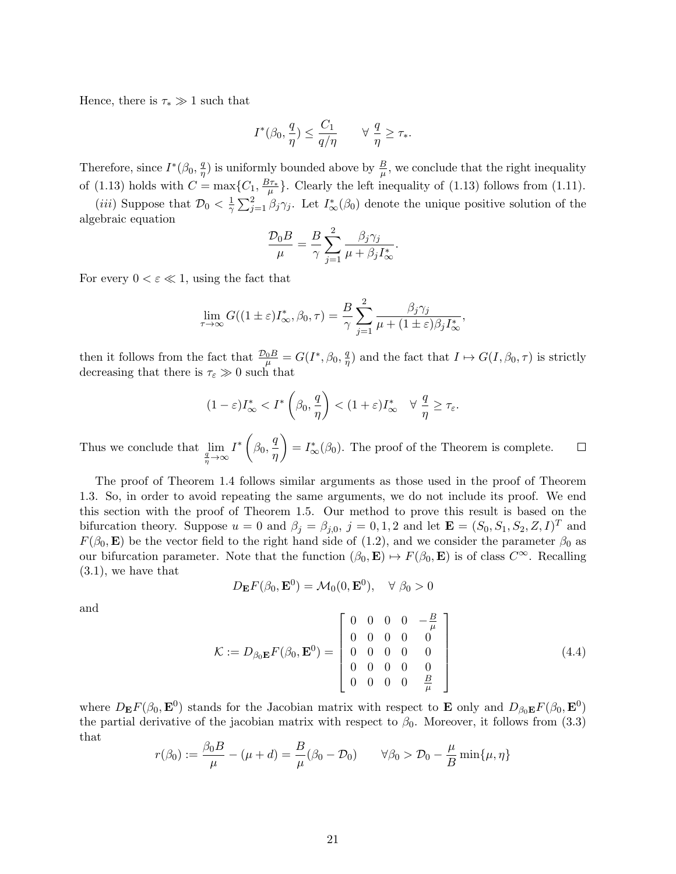Hence, there is  $\tau_* \gg 1$  such that

$$
I^*(\beta_0, \frac{q}{\eta}) \le \frac{C_1}{q/\eta} \qquad \forall \; \frac{q}{\eta} \ge \tau_*.
$$

Therefore, since  $I^*(\beta_0, \frac{q}{n})$  $\frac{q}{\eta}$ ) is uniformly bounded above by  $\frac{B}{\mu}$ , we conclude that the right inequality of (1.13) holds with  $C = \max\{C_1, \frac{B\tau_*}{\mu}\}\.$  Clearly the left inequality of (1.13) follows from (1.11).

(*iii*) Suppose that  $\mathcal{D}_0 < \frac{1}{\gamma}$  $\frac{1}{\gamma}\sum_{j=1}^{2}\beta_{j}\gamma_{j}$ . Let  $I_{\infty}^{*}(\beta_{0})$  denote the unique positive solution of the algebraic equation

$$
\frac{\mathcal{D}_0 B}{\mu} = \frac{B}{\gamma} \sum_{j=1}^2 \frac{\beta_j \gamma_j}{\mu + \beta_j I_{\infty}^*}.
$$

For every  $0 < \varepsilon \ll 1$ , using the fact that

$$
\lim_{\tau \to \infty} G((1 \pm \varepsilon)I_{\infty}^*, \beta_0, \tau) = \frac{B}{\gamma} \sum_{j=1}^2 \frac{\beta_j \gamma_j}{\mu + (1 \pm \varepsilon)\beta_j I_{\infty}^*},
$$

then it follows from the fact that  $\frac{\mathcal{D}_0 B}{\mu} = G(I^*, \beta_0, \frac{q}{\eta})$  $(\frac{q}{\eta})$  and the fact that  $I \mapsto G(I, \beta_0, \tau)$  is strictly decreasing that there is  $\tau_{\varepsilon} \gg 0$  such that

$$
(1-\varepsilon)I_{\infty}^* < I^*\left(\beta_0, \frac{q}{\eta}\right) < (1+\varepsilon)I_{\infty}^* \quad \forall \; \frac{q}{\eta} \ge \tau_{\varepsilon}.
$$

 $I^*\left(\beta_0,\frac{q}{q}\right)$  $= I^*_{\infty}(\beta_0)$ . The proof of the Theorem is complete. Thus we conclude that  $\lim_{\frac{q}{\eta} \to \infty}$  $\Box$ η

The proof of Theorem 1.4 follows similar arguments as those used in the proof of Theorem 1.3. So, in order to avoid repeating the same arguments, we do not include its proof. We end this section with the proof of Theorem 1.5. Our method to prove this result is based on the bifurcation theory. Suppose  $u = 0$  and  $\beta_j = \beta_{j,0}$ ,  $j = 0,1,2$  and let  $\mathbf{E} = (S_0, S_1, S_2, Z, I)^T$  and  $F(\beta_0, \mathbf{E})$  be the vector field to the right hand side of (1.2), and we consider the parameter  $\beta_0$  as our bifurcation parameter. Note that the function  $(\beta_0, \mathbf{E}) \mapsto F(\beta_0, \mathbf{E})$  is of class  $C^{\infty}$ . Recalling (3.1), we have that

$$
D_{\mathbf{E}}F(\beta_0, \mathbf{E}^0) = \mathcal{M}_0(0, \mathbf{E}^0), \quad \forall \ \beta_0 > 0
$$

and

$$
\mathcal{K} := D_{\beta_0 \mathbf{E}} F(\beta_0, \mathbf{E}^0) = \begin{bmatrix} 0 & 0 & 0 & 0 & -\frac{B}{\mu} \\ 0 & 0 & 0 & 0 & 0 \\ 0 & 0 & 0 & 0 & 0 \\ 0 & 0 & 0 & 0 & 0 \\ 0 & 0 & 0 & 0 & \frac{B}{\mu} \end{bmatrix}
$$
(4.4)

where  $D_{\bf E}F(\beta_0, {\bf E}^0)$  stands for the Jacobian matrix with respect to **E** only and  $D_{\beta_0 {\bf E}}F(\beta_0, {\bf E}^0)$ the partial derivative of the jacobian matrix with respect to  $\beta_0$ . Moreover, it follows from (3.3) that

$$
r(\beta_0) := \frac{\beta_0 B}{\mu} - (\mu + d) = \frac{B}{\mu} (\beta_0 - \mathcal{D}_0) \qquad \forall \beta_0 > \mathcal{D}_0 - \frac{\mu}{B} \min\{\mu, \eta\}
$$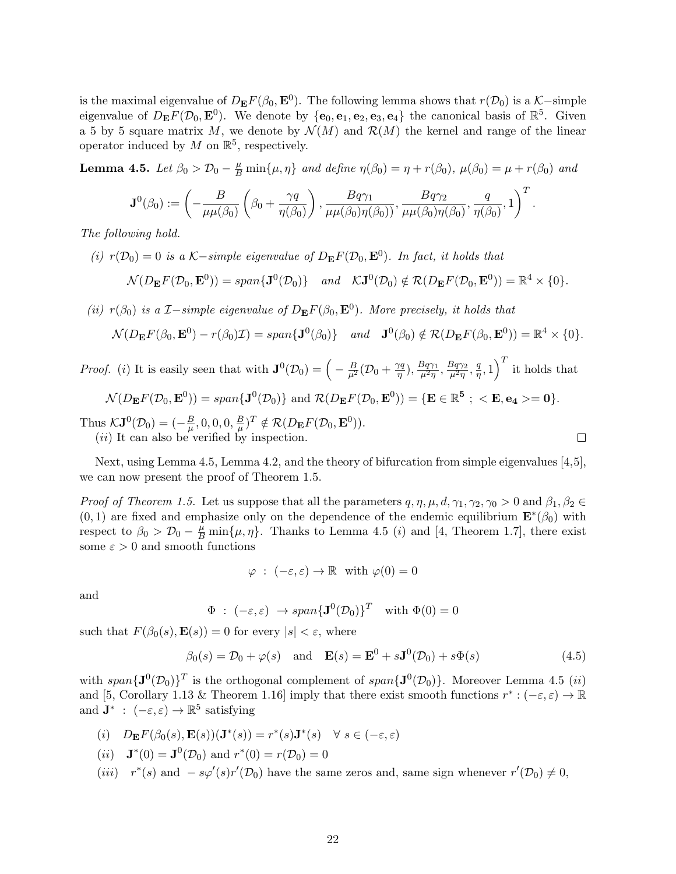is the maximal eigenvalue of  $D_{\mathbf{E}}F(\beta_0, \mathbf{E}^0)$ . The following lemma shows that  $r(\mathcal{D}_0)$  is a K-simple eigenvalue of  $D_{\mathbf{E}}F(\mathcal{D}_0, \mathbf{E}^0)$ . We denote by  $\{\mathbf{e}_0, \mathbf{e}_1, \mathbf{e}_2, \mathbf{e}_3, \mathbf{e}_4\}$  the canonical basis of  $\mathbb{R}^5$ . Given a 5 by 5 square matrix M, we denote by  $\mathcal{N}(M)$  and  $\mathcal{R}(M)$  the kernel and range of the linear operator induced by  $M$  on  $\mathbb{R}^5$ , respectively.

**Lemma 4.5.** Let  $\beta_0 > \mathcal{D}_0 - \frac{\mu}{B} \min{\mu, \eta}$  and define  $\eta(\beta_0) = \eta + r(\beta_0)$ ,  $\mu(\beta_0) = \mu + r(\beta_0)$  and

$$
\mathbf{J}^0(\beta_0) := \left(-\frac{B}{\mu\mu(\beta_0)}\left(\beta_0 + \frac{\gamma q}{\eta(\beta_0)}\right), \frac{Bq\gamma_1}{\mu\mu(\beta_0)\eta(\beta_0)}, \frac{Bq\gamma_2}{\mu\mu(\beta_0)\eta(\beta_0)}, \frac{q}{\eta(\beta_0)}, 1\right)^T.
$$

The following hold.

(i)  $r(\mathcal{D}_0) = 0$  is a K-simple eigenvalue of  $D_{\mathbf{E}}F(\mathcal{D}_0, \mathbf{E}^0)$ . In fact, it holds that  $\mathcal{N}(D_{\mathbf{E}}F(\mathcal{D}_0, \mathbf{E}^0)) = span{\{\mathbf{J}^0(\mathcal{D}_0)\}} \quad and \quad \mathcal{K} \mathbf{J}^0(\mathcal{D}_0) \notin \mathcal{R}(D_{\mathbf{E}}F(\mathcal{D}_0, \mathbf{E}^0)) = \mathbb{R}^4 \times \{0\}.$ 

(ii)  $r(\beta_0)$  is a  $\mathcal{I}-simple$  eigenvalue of  $D_{\mathbf{E}}F(\beta_0,\mathbf{E}^0)$ . More precisely, it holds that

$$
\mathcal{N}(D_{\mathbf{E}}F(\beta_0, \mathbf{E}^0) - r(\beta_0)\mathcal{I}) = span{\mathbf{J}^0(\beta_0)} \quad and \quad {\mathbf{J}^0(\beta_0) \notin \mathcal{R}(D_{\mathbf{E}}F(\beta_0, \mathbf{E}^0)) = \mathbb{R}^4 \times \{0\}.
$$

*Proof.* (*i*) It is easily seen that with  $\mathbf{J}^0(\mathcal{D}_0) = \left(-\frac{B}{\mu^2}(\mathcal{D}_0 + \frac{\gamma q}{\eta})\right)$  $(\frac{\eta q}{\eta}), \frac{Bq\gamma_1}{\mu^2\eta}$  $\frac{Bq\gamma_1}{\mu^2\eta},\frac{Bq\gamma_2}{\mu^2\eta}$  $\frac{3q\gamma_2}{\mu^2\eta}, \frac{q}{\eta}$  $\left(\frac{q}{\eta},1\right)^T$  it holds that

$$
\mathcal{N}(D_{\mathbf{E}}F(\mathcal{D}_0, \mathbf{E}^0)) = span{\mathbf{J}^0(\mathcal{D}_0)} \text{ and } \mathcal{R}(D_{\mathbf{E}}F(\mathcal{D}_0, \mathbf{E}^0)) = {\mathbf{E} \in \mathbb{R}^5} \; ; \; <\mathbf{E}, \mathbf{e}_4 >= 0\}.
$$

Thus  $\mathcal{K} \mathbf{J}^0(\mathcal{D}_0) = \left(-\frac{B}{\mu}\right)$  $\frac{\overline{B}}{\mu},0,0,0,\frac{\overline{B}}{\mu}$  $(\frac{B}{\mu})^T \notin \mathcal{R}(D_{\mathbf{E}}F(\mathcal{D}_0, \mathbf{E}^0)).$  $(ii)$  It can also be verified by inspection.

Next, using Lemma 4.5, Lemma 4.2, and the theory of bifurcation from simple eigenvalues [4,5], we can now present the proof of Theorem 1.5.

*Proof of Theorem 1.5.* Let us suppose that all the parameters  $q, \eta, \mu, d, \gamma_1, \gamma_2, \gamma_0 > 0$  and  $\beta_1, \beta_2 \in$  $(0, 1)$  are fixed and emphasize only on the dependence of the endemic equilibrium  $\mathbf{E}^*(\beta_0)$  with respect to  $\beta_0 > \mathcal{D}_0 - \frac{\mu}{B} \min{\mu, \eta}$ . Thanks to Lemma 4.5 (*i*) and [4, Theorem 1.7], there exist some  $\varepsilon > 0$  and smooth functions

$$
\varphi : (-\varepsilon, \varepsilon) \to \mathbb{R} \text{ with } \varphi(0) = 0
$$

and

$$
\Phi : (-\varepsilon, \varepsilon) \to span{\mathbf{J}^0(\mathcal{D}_0)}^T \text{ with } \Phi(0) = 0
$$

such that  $F(\beta_0(s), \mathbf{E}(s)) = 0$  for every  $|s| < \varepsilon$ , where

$$
\beta_0(s) = \mathcal{D}_0 + \varphi(s) \quad \text{and} \quad \mathbf{E}(s) = \mathbf{E}^0 + s\mathbf{J}^0(\mathcal{D}_0) + s\Phi(s) \tag{4.5}
$$

 $\Box$ 

with span ${\bf J}^0(\mathcal{D}_0)$ <sup>T</sup> is the orthogonal complement of span ${\bf J}^0(\mathcal{D}_0)$ . Moreover Lemma 4.5 *(ii)* and [5, Corollary 1.13 & Theorem 1.16] imply that there exist smooth functions  $r^*: (-\varepsilon, \varepsilon) \to \mathbb{R}$ and  $\mathbf{J}^*$  :  $(-\varepsilon,\varepsilon) \to \mathbb{R}^5$  satisfying

(i) 
$$
D_{\mathbf{E}}F(\beta_0(s), \mathbf{E}(s))(\mathbf{J}^*(s)) = r^*(s)\mathbf{J}^*(s) \quad \forall s \in (-\varepsilon, \varepsilon)
$$

(*ii*) 
$$
\mathbf{J}^*(0) = \mathbf{J}^0(\mathcal{D}_0)
$$
 and  $r^*(0) = r(\mathcal{D}_0) = 0$ 

(*iii*)  $r^*(s)$  and  $-s\varphi'(s)r'(\mathcal{D}_0)$  have the same zeros and, same sign whenever  $r'(\mathcal{D}_0) \neq 0$ ,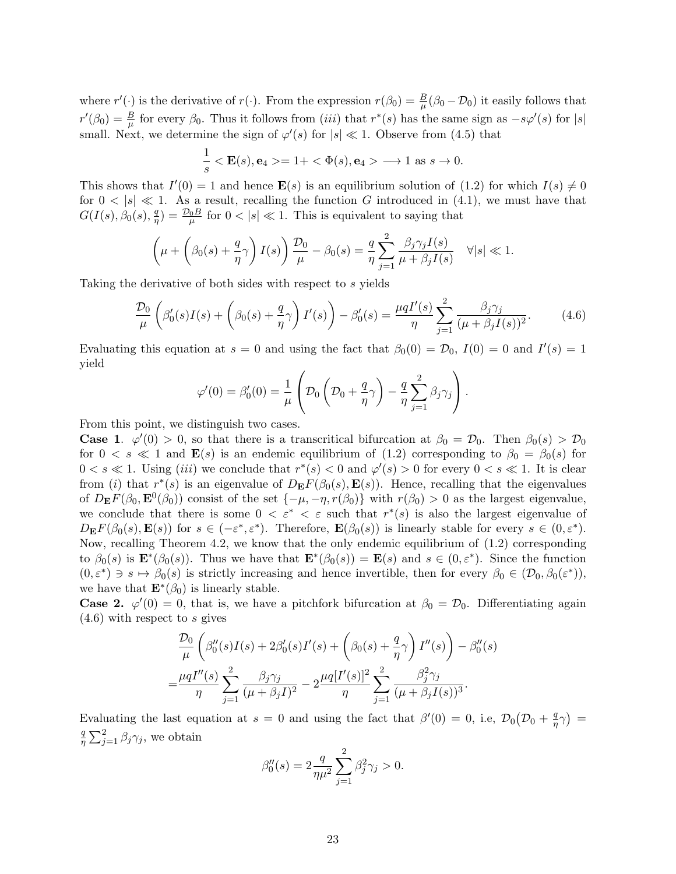where  $r'(\cdot)$  is the derivative of  $r(\cdot)$ . From the expression  $r(\beta_0) = \frac{B}{\mu}(\beta_0 - \mathcal{D}_0)$  it easily follows that  $r'(\beta_0) = \frac{B}{\mu}$  for every  $\beta_0$ . Thus it follows from *(iii)* that  $r^*(s)$  has the same sign as  $-s\varphi'(s)$  for  $|s|$ small. Next, we determine the sign of  $\varphi'(s)$  for  $|s| \ll 1$ . Observe from (4.5) that

$$
\frac{1}{s} < \mathbf{E}(s), \mathbf{e}_4 >= 1 + < \Phi(s), \mathbf{e}_4 > \longrightarrow 1 \text{ as } s \to 0.
$$

This shows that  $I'(0) = 1$  and hence  $\mathbf{E}(s)$  is an equilibrium solution of (1.2) for which  $I(s) \neq 0$ for  $0 < |s| \ll 1$ . As a result, recalling the function G introduced in (4.1), we must have that  $G(I(s),\beta_0(s),\frac{q}{n})$  $\frac{q}{\eta}$ ) =  $\frac{\mathcal{D}_0 B}{\mu}$  for  $0 < |s| \ll 1$ . This is equivalent to saying that

$$
\left(\mu + \left(\beta_0(s) + \frac{q}{\eta}\gamma\right)I(s)\right)\frac{\mathcal{D}_0}{\mu} - \beta_0(s) = \frac{q}{\eta}\sum_{j=1}^2\frac{\beta_j\gamma_jI(s)}{\mu + \beta_jI(s)} \quad \forall |s| \ll 1.
$$

Taking the derivative of both sides with respect to s yields

$$
\frac{\mathcal{D}_0}{\mu} \left( \beta_0'(s)I(s) + \left( \beta_0(s) + \frac{q}{\eta} \gamma \right)I'(s) \right) - \beta_0'(s) = \frac{\mu q I'(s)}{\eta} \sum_{j=1}^2 \frac{\beta_j \gamma_j}{(\mu + \beta_j I(s))^2}.
$$
 (4.6)

Evaluating this equation at  $s = 0$  and using the fact that  $\beta_0(0) = \mathcal{D}_0$ ,  $I(0) = 0$  and  $I'(s) = 1$ yield

$$
\varphi'(0) = \beta'_0(0) = \frac{1}{\mu} \left( \mathcal{D}_0 \left( \mathcal{D}_0 + \frac{q}{\eta} \gamma \right) - \frac{q}{\eta} \sum_{j=1}^2 \beta_j \gamma_j \right).
$$

From this point, we distinguish two cases.

**Case 1.**  $\varphi'(0) > 0$ , so that there is a transcritical bifurcation at  $\beta_0 = \mathcal{D}_0$ . Then  $\beta_0(s) > \mathcal{D}_0$ for  $0 < s \ll 1$  and  $\mathbf{E}(s)$  is an endemic equilibrium of (1.2) corresponding to  $\beta_0 = \beta_0(s)$  for  $0 < s \ll 1$ . Using *(iii)* we conclude that  $r^*(s) < 0$  and  $\varphi'(s) > 0$  for every  $0 < s \ll 1$ . It is clear from (i) that  $r^*(s)$  is an eigenvalue of  $D_{\mathbf{E}}F(\beta_0(s), \mathbf{E}(s))$ . Hence, recalling that the eigenvalues of  $D_{\mathbf{E}}F(\beta_0, \mathbf{E}^0(\beta_0))$  consist of the set  $\{-\mu, -\eta, r(\beta_0)\}\$  with  $r(\beta_0) > 0$  as the largest eigenvalue, we conclude that there is some  $0 < \varepsilon^* < \varepsilon$  such that  $r^*(s)$  is also the largest eigenvalue of  $D_{\mathbf{E}}F(\beta_0(s), \mathbf{E}(s))$  for  $s \in (-\varepsilon^*, \varepsilon^*)$ . Therefore,  $\mathbf{E}(\beta_0(s))$  is linearly stable for every  $s \in (0, \varepsilon^*)$ . Now, recalling Theorem 4.2, we know that the only endemic equilibrium of (1.2) corresponding to  $\beta_0(s)$  is  $\mathbf{E}^*(\beta_0(s))$ . Thus we have that  $\mathbf{E}^*(\beta_0(s)) = \mathbf{E}(s)$  and  $s \in (0, \varepsilon^*)$ . Since the function  $(0, \varepsilon^*) \ni s \mapsto \beta_0(s)$  is strictly increasing and hence invertible, then for every  $\beta_0 \in (\mathcal{D}_0, \beta_0(\varepsilon^*)),$ we have that  $\mathbf{E}^*(\beta_0)$  is linearly stable.

**Case 2.**  $\varphi'(0) = 0$ , that is, we have a pitchfork bifurcation at  $\beta_0 = \mathcal{D}_0$ . Differentiating again  $(4.6)$  with respect to s gives

$$
\frac{\mathcal{D}_0}{\mu} \left( \beta_0''(s)I(s) + 2\beta_0'(s)I'(s) + \left( \beta_0(s) + \frac{q}{\eta} \gamma \right)I''(s) \right) - \beta_0''(s) \n= \frac{\mu q I''(s)}{\eta} \sum_{j=1}^2 \frac{\beta_j \gamma_j}{(\mu + \beta_j I)^2} - 2\frac{\mu q [I'(s)]^2}{\eta} \sum_{j=1}^2 \frac{\beta_j^2 \gamma_j}{(\mu + \beta_j I(s))^3}.
$$

Evaluating the last equation at  $s = 0$  and using the fact that  $\beta'(0) = 0$ , i.e,  $\mathcal{D}_0(\mathcal{D}_0 + \frac{q}{n})$  $\frac{q}{\eta}\gamma\big) =$ q  $\frac{q}{\eta} \sum_{j=1}^{2} \beta_j \gamma_j$ , we obtain

$$
\beta_0''(s) = 2 \frac{q}{\eta \mu^2} \sum_{j=1}^2 \beta_j^2 \gamma_j > 0.
$$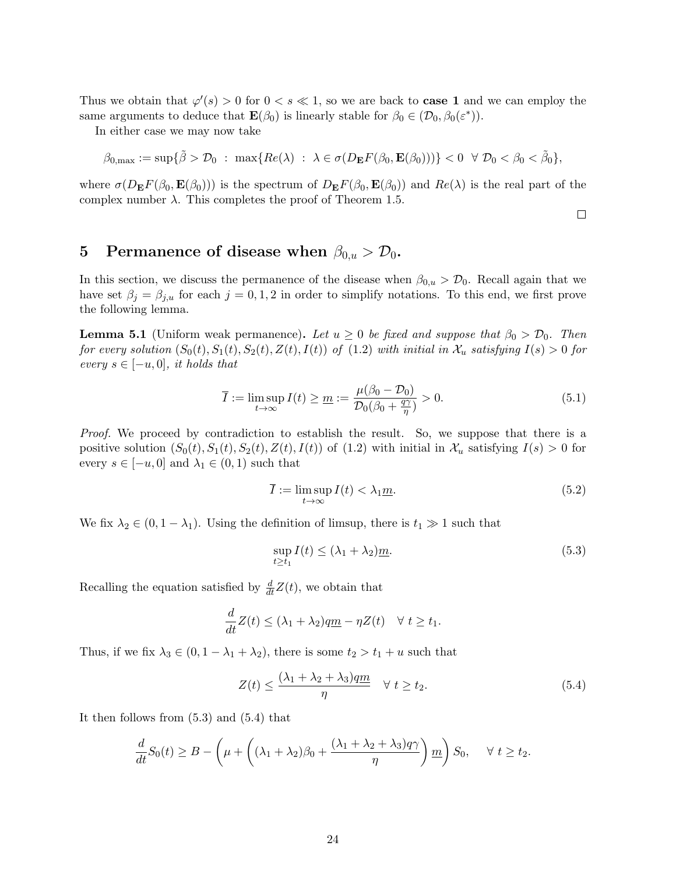Thus we obtain that  $\varphi'(s) > 0$  for  $0 < s \ll 1$ , so we are back to **case 1** and we can employ the same arguments to deduce that  $\mathbf{E}(\beta_0)$  is linearly stable for  $\beta_0 \in (\mathcal{D}_0, \beta_0(\varepsilon^*))$ .

In either case we may now take

$$
\beta_{0,\max}:=\sup\{\tilde{\beta}>\mathcal{D}_0~:~\max\{Re(\lambda)~:~\lambda\in\sigma(D_{\mathbf{E}}F(\beta_0,\mathbf{E}(\beta_0)))\}<0~~\forall~\mathcal{D}_0<\beta_0<\tilde{\beta}_0\},
$$

where  $\sigma(D_{\mathbf{E}}F(\beta_0, \mathbf{E}(\beta_0)))$  is the spectrum of  $D_{\mathbf{E}}F(\beta_0, \mathbf{E}(\beta_0))$  and  $Re(\lambda)$  is the real part of the complex number  $\lambda$ . This completes the proof of Theorem 1.5.

 $\Box$ 

## 5 Permanence of disease when  $\beta_{0,u} > \mathcal{D}_0$ .

In this section, we discuss the permanence of the disease when  $\beta_{0,u} > \mathcal{D}_0$ . Recall again that we have set  $\beta_j = \beta_{j,u}$  for each  $j = 0, 1, 2$  in order to simplify notations. To this end, we first prove the following lemma.

**Lemma 5.1** (Uniform weak permanence). Let  $u \geq 0$  be fixed and suppose that  $\beta_0 > \mathcal{D}_0$ . Then for every solution  $(S_0(t), S_1(t), S_2(t), Z(t), I(t))$  of  $(1.2)$  with initial in  $\mathcal{X}_u$  satisfying  $I(s) > 0$  for every  $s \in [-u, 0]$ , it holds that

$$
\overline{I} := \limsup_{t \to \infty} I(t) \ge \underline{m} := \frac{\mu(\beta_0 - \mathcal{D}_0)}{\mathcal{D}_0(\beta_0 + \frac{q\gamma}{\eta})} > 0.
$$
\n(5.1)

Proof. We proceed by contradiction to establish the result. So, we suppose that there is a positive solution  $(S_0(t), S_1(t), S_2(t), Z(t), I(t))$  of  $(1.2)$  with initial in  $\mathcal{X}_u$  satisfying  $I(s) > 0$  for every  $s \in [-u, 0]$  and  $\lambda_1 \in (0, 1)$  such that

$$
\overline{I} := \limsup_{t \to \infty} I(t) < \lambda_1 \underline{m}.\tag{5.2}
$$

We fix  $\lambda_2 \in (0, 1 - \lambda_1)$ . Using the definition of limsup, there is  $t_1 \gg 1$  such that

$$
\sup_{t \ge t_1} I(t) \le (\lambda_1 + \lambda_2) \underline{m}.\tag{5.3}
$$

Recalling the equation satisfied by  $\frac{d}{dt}Z(t)$ , we obtain that

$$
\frac{d}{dt}Z(t) \le (\lambda_1 + \lambda_2)q\underline{m} - \eta Z(t) \quad \forall \ t \ge t_1.
$$

Thus, if we fix  $\lambda_3 \in (0, 1 - \lambda_1 + \lambda_2)$ , there is some  $t_2 > t_1 + u$  such that

$$
Z(t) \le \frac{(\lambda_1 + \lambda_2 + \lambda_3)qm}{\eta} \quad \forall \ t \ge t_2.
$$
 (5.4)

It then follows from (5.3) and (5.4) that

$$
\frac{d}{dt}S_0(t) \ge B - \left(\mu + \left((\lambda_1 + \lambda_2)\beta_0 + \frac{(\lambda_1 + \lambda_2 + \lambda_3)q\gamma}{\eta}\right)m\right)S_0, \quad \forall t \ge t_2.
$$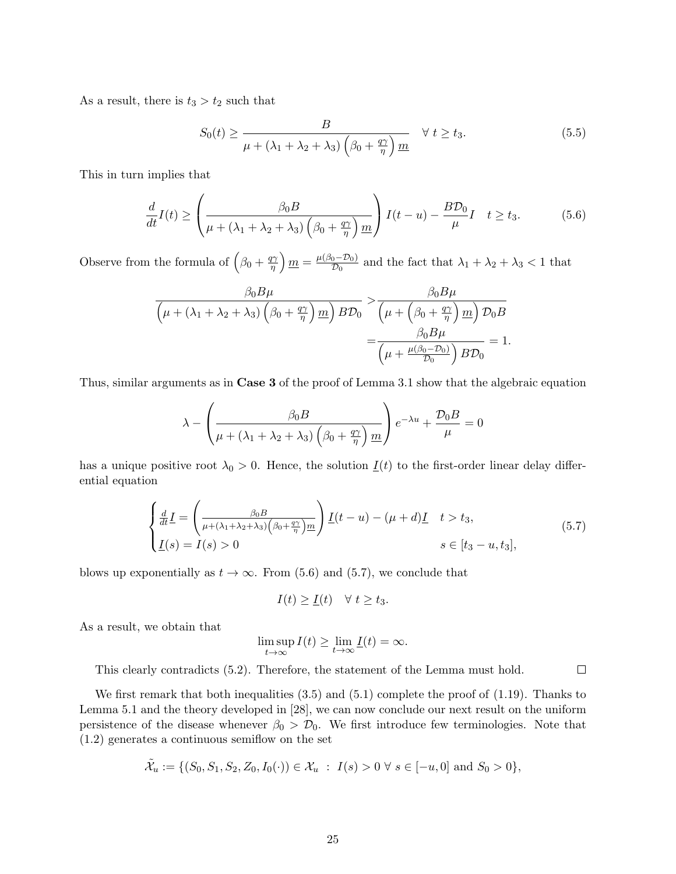As a result, there is  $t_3 > t_2$  such that

$$
S_0(t) \ge \frac{B}{\mu + (\lambda_1 + \lambda_2 + \lambda_3) \left(\beta_0 + \frac{q\gamma}{\eta}\right) \underline{m}} \quad \forall \ t \ge t_3.
$$
 (5.5)

This in turn implies that

$$
\frac{d}{dt}I(t) \ge \left(\frac{\beta_0 B}{\mu + (\lambda_1 + \lambda_2 + \lambda_3)\left(\beta_0 + \frac{q\gamma}{\eta}\right)m}\right)I(t-u) - \frac{B\mathcal{D}_0}{\mu}I \quad t \ge t_3. \tag{5.6}
$$

Observe from the formula of  $\left(\beta_0 + \frac{q\gamma}{n}\right)$  $\left(\frac{m}{\eta}\right) \underline{m} = \frac{\mu(\beta_0 - \mathcal{D}_0)}{\mathcal{D}_0}$  $\frac{1}{\mathcal{D}_0}$  and the fact that  $\lambda_1 + \lambda_2 + \lambda_3 < 1$  that

$$
\frac{\beta_0 B \mu}{\left(\mu + (\lambda_1 + \lambda_2 + \lambda_3) \left(\beta_0 + \frac{q\gamma}{\eta}\right) m\right) B \mathcal{D}_0} > \frac{\beta_0 B \mu}{\left(\mu + \left(\beta_0 + \frac{q\gamma}{\eta}\right) m\right) \mathcal{D}_0 B}
$$

$$
= \frac{\beta_0 B \mu}{\left(\mu + \frac{\mu(\beta_0 - \mathcal{D}_0)}{\mathcal{D}_0}\right) B \mathcal{D}_0} = 1.
$$

Thus, similar arguments as in Case 3 of the proof of Lemma 3.1 show that the algebraic equation

$$
\lambda - \left(\frac{\beta_0 B}{\mu + (\lambda_1 + \lambda_2 + \lambda_3) \left(\beta_0 + \frac{q\gamma}{\eta}\right) m}\right) e^{-\lambda u} + \frac{\mathcal{D}_0 B}{\mu} = 0
$$

has a unique positive root  $\lambda_0 > 0$ . Hence, the solution  $\underline{I}(t)$  to the first-order linear delay differential equation

$$
\begin{cases}\n\frac{d}{dt}\underline{I} = \left(\frac{\beta_0 B}{\mu + (\lambda_1 + \lambda_2 + \lambda_3)\left(\beta_0 + \frac{q\gamma}{\eta}\right)m}\right) \underline{I}(t - u) - (\mu + d)\underline{I} & t > t_3, \\
\underline{I}(s) = I(s) > 0 & s \in [t_3 - u, t_3],\n\end{cases}\n\tag{5.7}
$$

 $\Box$ 

blows up exponentially as  $t \to \infty$ . From (5.6) and (5.7), we conclude that

$$
I(t) \geq \underline{I}(t) \quad \forall \ t \geq t_3.
$$

As a result, we obtain that

$$
\limsup_{t\to\infty} I(t) \ge \lim_{t\to\infty} \underline{I}(t) = \infty.
$$

This clearly contradicts (5.2). Therefore, the statement of the Lemma must hold.

We first remark that both inequalities  $(3.5)$  and  $(5.1)$  complete the proof of  $(1.19)$ . Thanks to Lemma 5.1 and the theory developed in [28], we can now conclude our next result on the uniform persistence of the disease whenever  $\beta_0 > \mathcal{D}_0$ . We first introduce few terminologies. Note that (1.2) generates a continuous semiflow on the set

$$
\tilde{\mathcal{X}}_u := \{ (S_0, S_1, S_2, Z_0, I_0(\cdot)) \in \mathcal{X}_u : I(s) > 0 \ \forall \ s \in [-u, 0] \text{ and } S_0 > 0 \},
$$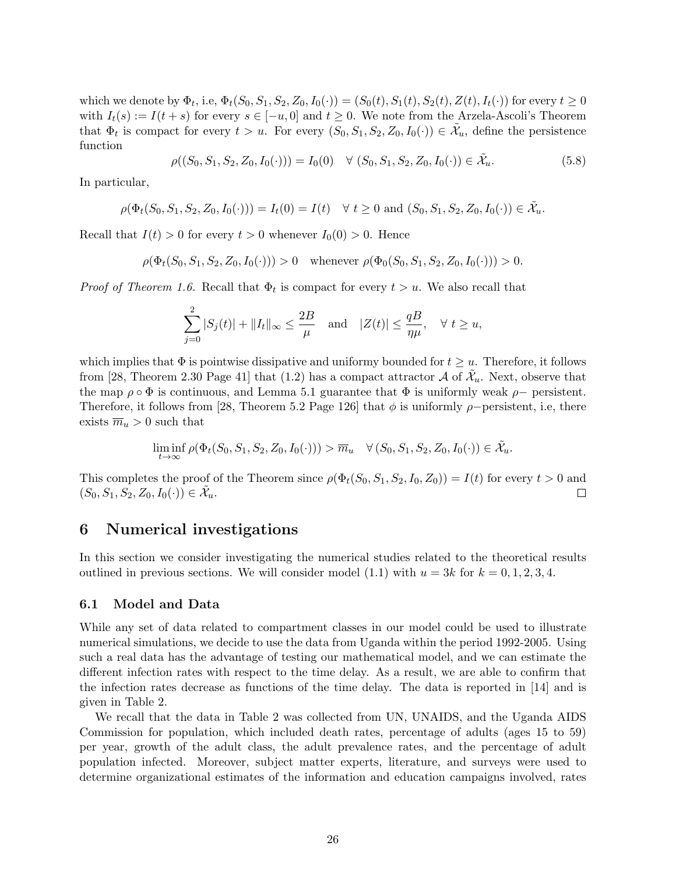which we denote by  $\Phi_t$ , i.e,  $\Phi_t(S_0, S_1, S_2, Z_0, I_0(\cdot)) = (S_0(t), S_1(t), S_2(t), Z(t), I_t(\cdot))$  for every  $t \ge 0$ with  $I_t(s) := I(t+s)$  for every  $s \in [-u, 0]$  and  $t \geq 0$ . We note from the Arzela-Ascoli's Theorem that  $\Phi_t$  is compact for every  $t > u$ . For every  $(S_0, S_1, S_2, Z_0, I_0(\cdot)) \in \tilde{\mathcal{X}}_u$ , define the persistence function

$$
\rho((S_0, S_1, S_2, Z_0, I_0(\cdot))) = I_0(0) \quad \forall (S_0, S_1, S_2, Z_0, I_0(\cdot)) \in \tilde{\mathcal{X}}_u.
$$
\n(5.8)

In particular,

$$
\rho(\Phi_t(S_0, S_1, S_2, Z_0, I_0(\cdot))) = I_t(0) = I(t) \quad \forall \ t \ge 0 \text{ and } (S_0, S_1, S_2, Z_0, I_0(\cdot)) \in \tilde{\mathcal{X}}_u.
$$

Recall that  $I(t) > 0$  for every  $t > 0$  whenever  $I_0(0) > 0$ . Hence

$$
\rho(\Phi_t(S_0, S_1, S_2, Z_0, I_0(\cdot))) > 0 \quad \text{whenever} \ \rho(\Phi_0(S_0, S_1, S_2, Z_0, I_0(\cdot))) > 0.
$$

*Proof of Theorem 1.6.* Recall that  $\Phi_t$  is compact for every  $t > u$ . We also recall that

$$
\sum_{j=0}^{2} |S_j(t)| + \|I_t\|_{\infty} \le \frac{2B}{\mu} \quad \text{and} \quad |Z(t)| \le \frac{qB}{\eta\mu}, \quad \forall \ t \ge u,
$$

which implies that  $\Phi$  is pointwise dissipative and uniformy bounded for  $t \geq u$ . Therefore, it follows from [28, Theorem 2.30 Page 41] that (1.2) has a compact attractor  $\mathcal A$  of  $\tilde{\mathcal X}_u$ . Next, observe that the map  $\rho \circ \Phi$  is continuous, and Lemma 5.1 guarantee that  $\Phi$  is uniformly weak  $\rho$  – persistent. Therefore, it follows from [28, Theorem 5.2 Page 126] that  $\phi$  is uniformly  $\rho$ -persistent, i.e, there exists  $\overline{m}_u > 0$  such that

$$
\liminf_{t\to\infty}\rho(\Phi_t(S_0,S_1,S_2,Z_0,I_0(\cdot))) > \overline{m}_u \quad \forall (S_0,S_1,S_2,Z_0,I_0(\cdot)) \in \tilde{\mathcal{X}}_u.
$$

This completes the proof of the Theorem since  $\rho(\Phi_t(S_0, S_1, S_2, I_0, Z_0)) = I(t)$  for every  $t > 0$  and  $(S_0, S_1, S_2, Z_0, I_0(\cdot)) \in \tilde{\mathcal{X}}_u.$  $\Box$ 

#### 6 Numerical investigations

In this section we consider investigating the numerical studies related to the theoretical results outlined in previous sections. We will consider model (1.1) with  $u = 3k$  for  $k = 0, 1, 2, 3, 4$ .

#### 6.1 Model and Data

While any set of data related to compartment classes in our model could be used to illustrate numerical simulations, we decide to use the data from Uganda within the period 1992-2005. Using such a real data has the advantage of testing our mathematical model, and we can estimate the different infection rates with respect to the time delay. As a result, we are able to confirm that the infection rates decrease as functions of the time delay. The data is reported in [14] and is given in Table 2.

We recall that the data in Table 2 was collected from UN, UNAIDS, and the Uganda AIDS Commission for population, which included death rates, percentage of adults (ages 15 to 59) per year, growth of the adult class, the adult prevalence rates, and the percentage of adult population infected. Moreover, subject matter experts, literature, and surveys were used to determine organizational estimates of the information and education campaigns involved, rates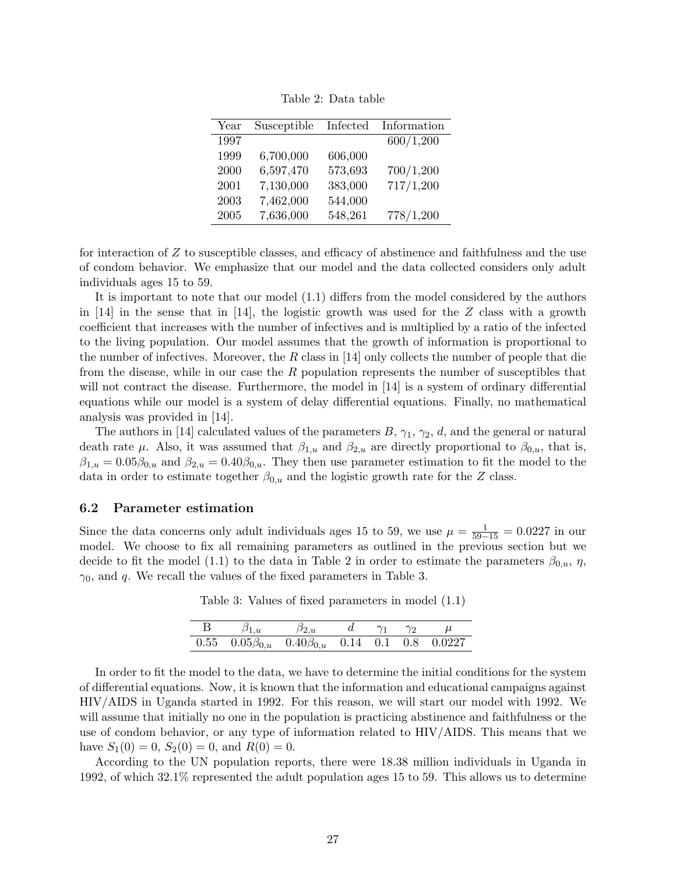Table 2: Data table

| Year | Susceptible | Infected | Information |
|------|-------------|----------|-------------|
| 1997 |             |          | 600/1,200   |
| 1999 | 6,700,000   | 606,000  |             |
| 2000 | 6,597,470   | 573,693  | 700/1,200   |
| 2001 | 7,130,000   | 383,000  | 717/1,200   |
| 2003 | 7,462,000   | 544,000  |             |
| 2005 | 7,636,000   | 548,261  | 778/1,200   |

for interaction of Z to susceptible classes, and efficacy of abstinence and faithfulness and the use of condom behavior. We emphasize that our model and the data collected considers only adult individuals ages 15 to 59.

It is important to note that our model (1.1) differs from the model considered by the authors in [14] in the sense that in [14], the logistic growth was used for the  $Z$  class with a growth coefficient that increases with the number of infectives and is multiplied by a ratio of the infected to the living population. Our model assumes that the growth of information is proportional to the number of infectives. Moreover, the  $R$  class in [14] only collects the number of people that die from the disease, while in our case the  $R$  population represents the number of susceptibles that will not contract the disease. Furthermore, the model in [14] is a system of ordinary differential equations while our model is a system of delay differential equations. Finally, no mathematical analysis was provided in [14].

The authors in [14] calculated values of the parameters  $B, \gamma_1, \gamma_2, d$ , and the general or natural death rate  $\mu$ . Also, it was assumed that  $\beta_{1,u}$  and  $\beta_{2,u}$  are directly proportional to  $\beta_{0,u}$ , that is,  $\beta_{1,u} = 0.05\beta_{0,u}$  and  $\beta_{2,u} = 0.40\beta_{0,u}$ . They then use parameter estimation to fit the model to the data in order to estimate together  $\beta_{0,u}$  and the logistic growth rate for the Z class.

#### 6.2 Parameter estimation

Since the data concerns only adult individuals ages 15 to 59, we use  $\mu = \frac{1}{59-15} = 0.0227$  in our model. We choose to fix all remaining parameters as outlined in the previous section but we decide to fit the model (1.1) to the data in Table 2 in order to estimate the parameters  $\beta_{0,u}$ ,  $\eta$ ,  $\gamma_0$ , and q. We recall the values of the fixed parameters in Table 3.

Table 3: Values of fixed parameters in model (1.1)

| $\mathbf{B}$ |                                                                                                  | $\beta_{2,u}$ |  | $\gamma_2$ |  |
|--------------|--------------------------------------------------------------------------------------------------|---------------|--|------------|--|
|              | $0.55 \quad 0.05 \beta_{0,u} \quad 0.40 \beta_{0,u} \quad 0.14 \quad 0.1 \quad 0.8 \quad 0.0227$ |               |  |            |  |

In order to fit the model to the data, we have to determine the initial conditions for the system of differential equations. Now, it is known that the information and educational campaigns against HIV/AIDS in Uganda started in 1992. For this reason, we will start our model with 1992. We will assume that initially no one in the population is practicing abstinence and faithfulness or the use of condom behavior, or any type of information related to HIV/AIDS. This means that we have  $S_1(0) = 0$ ,  $S_2(0) = 0$ , and  $R(0) = 0$ .

According to the UN population reports, there were 18.38 million individuals in Uganda in 1992, of which 32.1% represented the adult population ages 15 to 59. This allows us to determine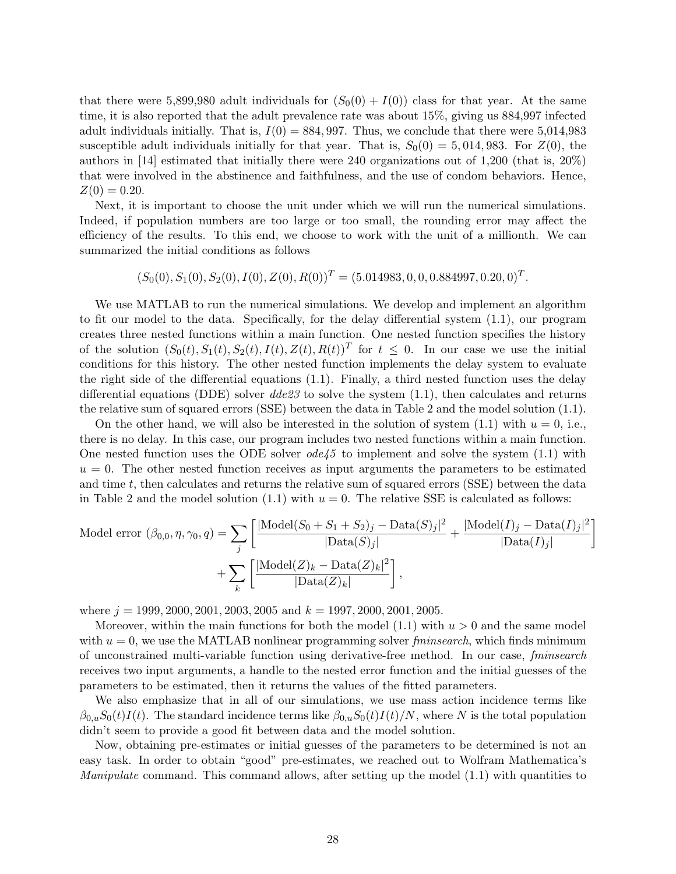that there were 5,899,980 adult individuals for  $(S_0(0) + I(0))$  class for that year. At the same time, it is also reported that the adult prevalence rate was about 15%, giving us 884,997 infected adult individuals initially. That is,  $I(0) = 884,997$ . Thus, we conclude that there were 5,014,983 susceptible adult individuals initially for that year. That is,  $S_0(0) = 5,014,983$ . For  $Z(0)$ , the authors in [14] estimated that initially there were 240 organizations out of 1,200 (that is, 20%) that were involved in the abstinence and faithfulness, and the use of condom behaviors. Hence,  $Z(0) = 0.20$ .

Next, it is important to choose the unit under which we will run the numerical simulations. Indeed, if population numbers are too large or too small, the rounding error may affect the efficiency of the results. To this end, we choose to work with the unit of a millionth. We can summarized the initial conditions as follows

 $(S_0(0), S_1(0), S_2(0), I(0), Z(0), R(0))^{T} = (5.014983, 0, 0, 0.884997, 0.20, 0)^{T}.$ 

We use MATLAB to run the numerical simulations. We develop and implement an algorithm to fit our model to the data. Specifically, for the delay differential system (1.1), our program creates three nested functions within a main function. One nested function specifies the history of the solution  $(S_0(t), S_1(t), S_2(t), I(t), Z(t), R(t))^T$  for  $t \leq 0$ . In our case we use the initial conditions for this history. The other nested function implements the delay system to evaluate the right side of the differential equations (1.1). Finally, a third nested function uses the delay differential equations (DDE) solver  $de23$  to solve the system (1.1), then calculates and returns the relative sum of squared errors (SSE) between the data in Table 2 and the model solution (1.1).

On the other hand, we will also be interested in the solution of system  $(1.1)$  with  $u = 0$ , i.e., there is no delay. In this case, our program includes two nested functions within a main function. One nested function uses the ODE solver  $ode45$  to implement and solve the system (1.1) with  $u = 0$ . The other nested function receives as input arguments the parameters to be estimated and time  $t$ , then calculates and returns the relative sum of squared errors (SSE) between the data in Table 2 and the model solution  $(1.1)$  with  $u = 0$ . The relative SSE is calculated as follows:

Model error 
$$
(\beta_{0,0}, \eta, \gamma_0, q) = \sum_j \left[ \frac{|\text{Model}(S_0 + S_1 + S_2)_j - \text{Data}(S)_j|^2}{|\text{Data}(S)_j|} + \frac{|\text{Model}(I)_j - \text{Data}(I)_j|^2}{|\text{Data}(I)_j|} \right] + \sum_k \left[ \frac{|\text{Model}(Z)_k - \text{Data}(Z)_k|^2}{|\text{Data}(Z)_k|} \right],
$$

where  $j = 1999, 2000, 2001, 2003, 2005$  and  $k = 1997, 2000, 2001, 2005$ .

Moreover, within the main functions for both the model  $(1.1)$  with  $u > 0$  and the same model with  $u = 0$ , we use the MATLAB nonlinear programming solver *fminsearch*, which finds minimum of unconstrained multi-variable function using derivative-free method. In our case, fminsearch receives two input arguments, a handle to the nested error function and the initial guesses of the parameters to be estimated, then it returns the values of the fitted parameters.

We also emphasize that in all of our simulations, we use mass action incidence terms like  $\beta_{0,u}S_0(t)I(t)$ . The standard incidence terms like  $\beta_{0,u}S_0(t)I(t)/N$ , where N is the total population didn't seem to provide a good fit between data and the model solution.

Now, obtaining pre-estimates or initial guesses of the parameters to be determined is not an easy task. In order to obtain "good" pre-estimates, we reached out to Wolfram Mathematica's *Manipulate* command. This command allows, after setting up the model  $(1.1)$  with quantities to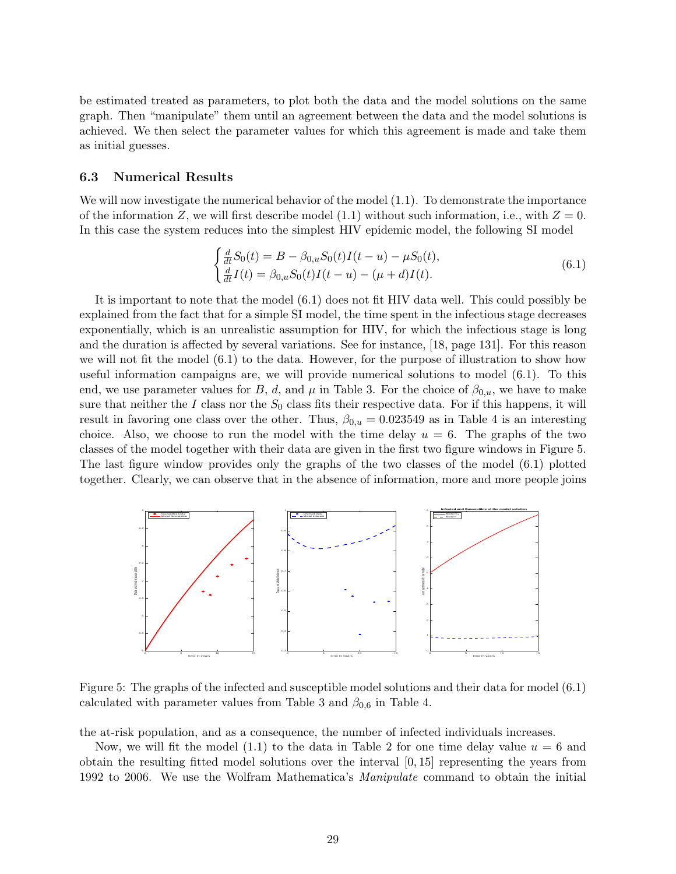be estimated treated as parameters, to plot both the data and the model solutions on the same graph. Then "manipulate" them until an agreement between the data and the model solutions is achieved. We then select the parameter values for which this agreement is made and take them as initial guesses.

#### 6.3 Numerical Results

We will now investigate the numerical behavior of the model (1.1). To demonstrate the importance of the information Z, we will first describe model (1.1) without such information, i.e., with  $Z = 0$ . In this case the system reduces into the simplest HIV epidemic model, the following SI model

$$
\begin{cases}\n\frac{d}{dt}S_0(t) = B - \beta_{0,u}S_0(t)I(t-u) - \mu S_0(t), \\
\frac{d}{dt}I(t) = \beta_{0,u}S_0(t)I(t-u) - (\mu + d)I(t).\n\end{cases} (6.1)
$$

It is important to note that the model (6.1) does not fit HIV data well. This could possibly be explained from the fact that for a simple SI model, the time spent in the infectious stage decreases exponentially, which is an unrealistic assumption for HIV, for which the infectious stage is long and the duration is affected by several variations. See for instance, [18, page 131]. For this reason we will not fit the model  $(6.1)$  to the data. However, for the purpose of illustration to show how useful information campaigns are, we will provide numerical solutions to model (6.1). To this end, we use parameter values for B, d, and  $\mu$  in Table 3. For the choice of  $\beta_{0,u}$ , we have to make sure that neither the I class nor the  $S_0$  class fits their respective data. For if this happens, it will result in favoring one class over the other. Thus,  $\beta_{0,u} = 0.023549$  as in Table 4 is an interesting choice. Also, we choose to run the model with the time delay  $u = 6$ . The graphs of the two classes of the model together with their data are given in the first two figure windows in Figure 5. The last figure window provides only the graphs of the two classes of the model (6.1) plotted together. Clearly, we can observe that in the absence of information, more and more people joins



Figure 5: The graphs of the infected and susceptible model solutions and their data for model (6.1) calculated with parameter values from Table 3 and  $\beta_{0,6}$  in Table 4.

the at-risk population, and as a consequence, the number of infected individuals increases.

Now, we will fit the model (1.1) to the data in Table 2 for one time delay value  $u = 6$  and obtain the resulting fitted model solutions over the interval  $[0, 15]$  representing the years from 1992 to 2006. We use the Wolfram Mathematica's Manipulate command to obtain the initial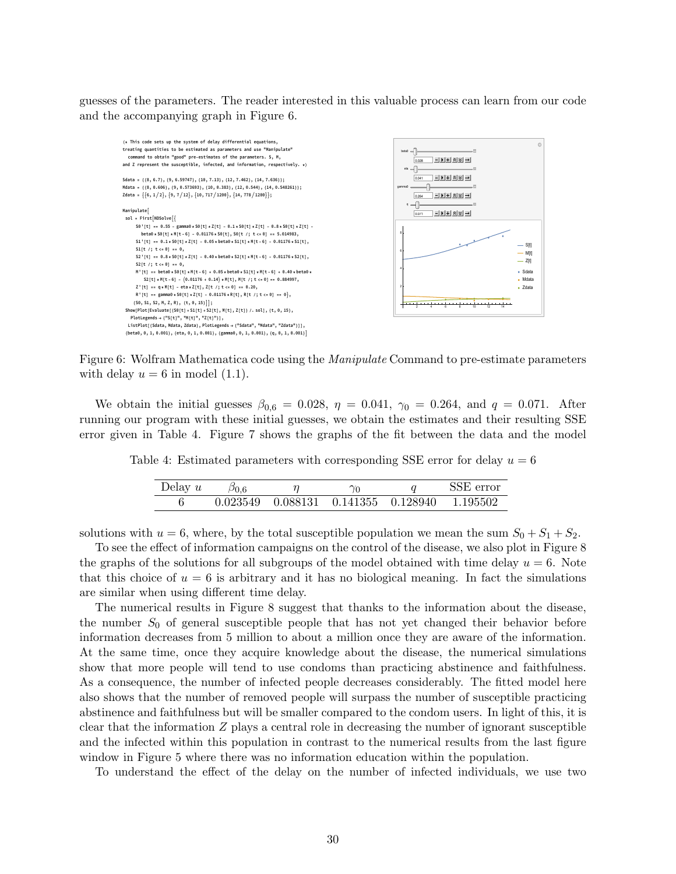guesses of the parameters. The reader interested in this valuable process can learn from our code and the accompanying graph in Figure 6.



Figure 6: Wolfram Mathematica code using the Manipulate Command to pre-estimate parameters with delay  $u = 6$  in model (1.1).

We obtain the initial guesses  $\beta_{0,6} = 0.028$ ,  $\eta = 0.041$ ,  $\gamma_0 = 0.264$ , and  $q = 0.071$ . After running our program with these initial guesses, we obtain the estimates and their resulting SSE error given in Table 4. Figure 7 shows the graphs of the fit between the data and the model

Table 4: Estimated parameters with corresponding SSE error for delay  $u = 6$ 

| Delay $u$ | $\beta_{0.6}$ |                                                        | SSE error |
|-----------|---------------|--------------------------------------------------------|-----------|
|           |               | $0.023549$ $0.088131$ $0.141355$ $0.128940$ $1.195502$ |           |

solutions with  $u = 6$ , where, by the total susceptible population we mean the sum  $S_0 + S_1 + S_2$ .

To see the effect of information campaigns on the control of the disease, we also plot in Figure 8 the graphs of the solutions for all subgroups of the model obtained with time delay  $u = 6$ . Note that this choice of  $u = 6$  is arbitrary and it has no biological meaning. In fact the simulations are similar when using different time delay.

The numerical results in Figure 8 suggest that thanks to the information about the disease, the number  $S_0$  of general susceptible people that has not yet changed their behavior before information decreases from 5 million to about a million once they are aware of the information. At the same time, once they acquire knowledge about the disease, the numerical simulations show that more people will tend to use condoms than practicing abstinence and faithfulness. As a consequence, the number of infected people decreases considerably. The fitted model here also shows that the number of removed people will surpass the number of susceptible practicing abstinence and faithfulness but will be smaller compared to the condom users. In light of this, it is clear that the information  $Z$  plays a central role in decreasing the number of ignorant susceptible and the infected within this population in contrast to the numerical results from the last figure window in Figure 5 where there was no information education within the population.

To understand the effect of the delay on the number of infected individuals, we use two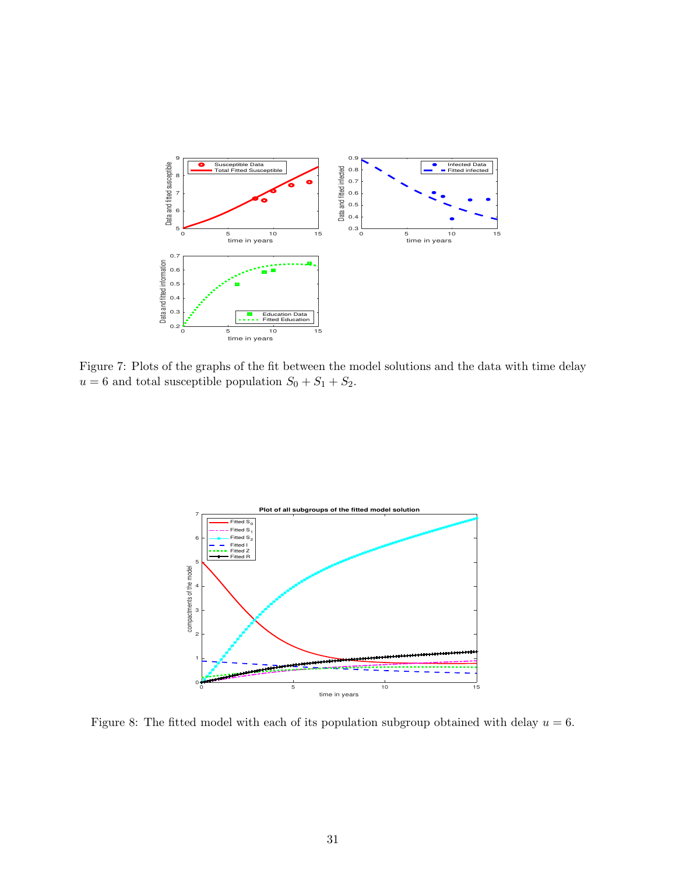

Figure 7: Plots of the graphs of the fit between the model solutions and the data with time delay  $u = 6$  and total susceptible population  $S_0 + S_1 + S_2$ .



Figure 8: The fitted model with each of its population subgroup obtained with delay  $u = 6$ .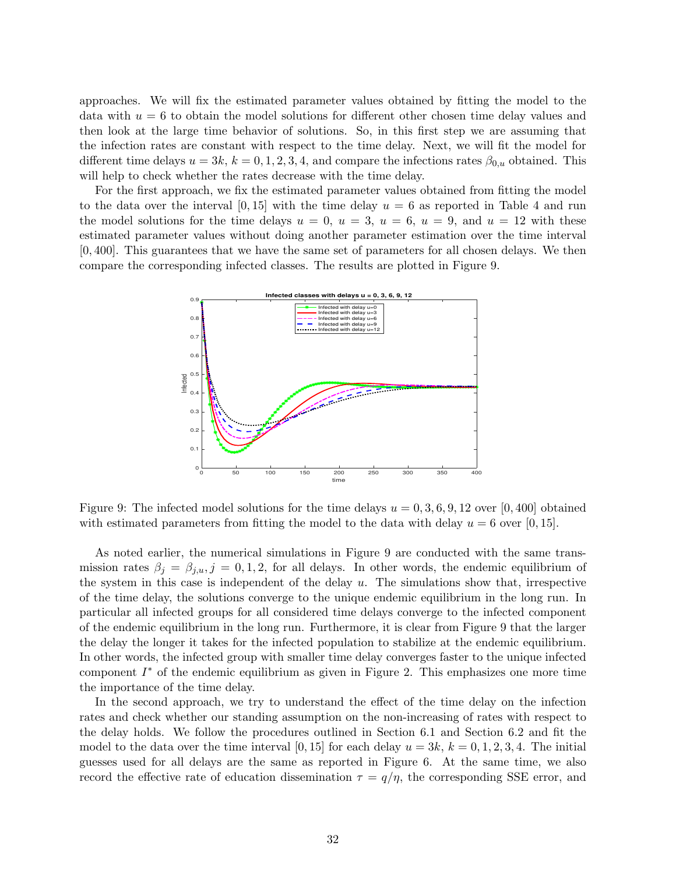approaches. We will fix the estimated parameter values obtained by fitting the model to the data with  $u = 6$  to obtain the model solutions for different other chosen time delay values and then look at the large time behavior of solutions. So, in this first step we are assuming that the infection rates are constant with respect to the time delay. Next, we will fit the model for different time delays  $u = 3k$ ,  $k = 0, 1, 2, 3, 4$ , and compare the infections rates  $\beta_{0,u}$  obtained. This will help to check whether the rates decrease with the time delay.

For the first approach, we fix the estimated parameter values obtained from fitting the model to the data over the interval  $[0, 15]$  with the time delay  $u = 6$  as reported in Table 4 and run the model solutions for the time delays  $u = 0, u = 3, u = 6, u = 9$ , and  $u = 12$  with these estimated parameter values without doing another parameter estimation over the time interval [0, 400]. This guarantees that we have the same set of parameters for all chosen delays. We then compare the corresponding infected classes. The results are plotted in Figure 9.



Figure 9: The infected model solutions for the time delays  $u = 0, 3, 6, 9, 12$  over [0,400] obtained with estimated parameters from fitting the model to the data with delay  $u = 6$  over [0, 15].

As noted earlier, the numerical simulations in Figure 9 are conducted with the same transmission rates  $\beta_j = \beta_{j,u}, j = 0,1,2$ , for all delays. In other words, the endemic equilibrium of the system in this case is independent of the delay  $u$ . The simulations show that, irrespective of the time delay, the solutions converge to the unique endemic equilibrium in the long run. In particular all infected groups for all considered time delays converge to the infected component of the endemic equilibrium in the long run. Furthermore, it is clear from Figure 9 that the larger the delay the longer it takes for the infected population to stabilize at the endemic equilibrium. In other words, the infected group with smaller time delay converges faster to the unique infected component  $I^*$  of the endemic equilibrium as given in Figure 2. This emphasizes one more time the importance of the time delay.

In the second approach, we try to understand the effect of the time delay on the infection rates and check whether our standing assumption on the non-increasing of rates with respect to the delay holds. We follow the procedures outlined in Section 6.1 and Section 6.2 and fit the model to the data over the time interval [0, 15] for each delay  $u = 3k$ ,  $k = 0, 1, 2, 3, 4$ . The initial guesses used for all delays are the same as reported in Figure 6. At the same time, we also record the effective rate of education dissemination  $\tau = q/\eta$ , the corresponding SSE error, and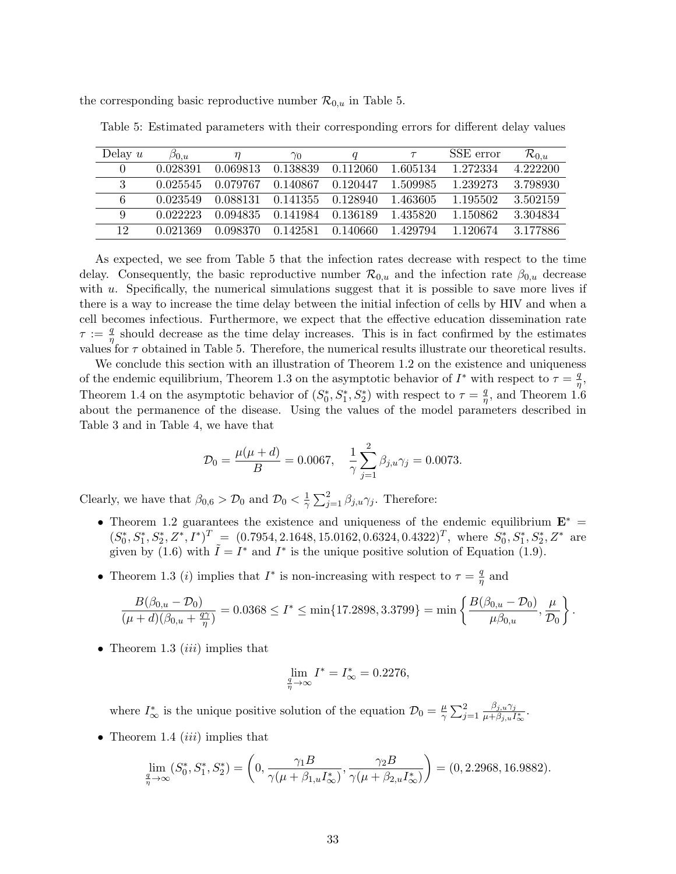the corresponding basic reproductive number  $\mathcal{R}_{0,u}$  in Table 5.

| Delay $u$ | $\beta_{0.u.}$ |          | $\gamma_0$ |          |          | SSE error | $\mathcal{R}_{0. u}$ |
|-----------|----------------|----------|------------|----------|----------|-----------|----------------------|
| 0         | 0.028391       | 0.069813 | 0.138839   | 0.112060 | 1.605134 | 1.272334  | 4.222200             |
| 3         | 0.025545       | 0.079767 | 0.140867   | 0.120447 | 1.509985 | 1.239273  | 3.798930             |
| 6         | 0.023549       | 0.088131 | 0.141355   | 0.128940 | 1.463605 | 1.195502  | 3.502159             |
| 9         | 0.022223       | 0.094835 | 0.141984   | 0.136189 | 1.435820 | 1.150862  | 3.304834             |
| 12.       | 0.021369       | 0.098370 | 0.142581   | 0.140660 | 1.429794 | 1.120674  | 3 177886             |

Table 5: Estimated parameters with their corresponding errors for different delay values

As expected, we see from Table 5 that the infection rates decrease with respect to the time delay. Consequently, the basic reproductive number  $\mathcal{R}_{0,u}$  and the infection rate  $\beta_{0,u}$  decrease with  $u$ . Specifically, the numerical simulations suggest that it is possible to save more lives if there is a way to increase the time delay between the initial infection of cells by HIV and when a cell becomes infectious. Furthermore, we expect that the effective education dissemination rate  $\tau := \frac{q}{n}$  $\frac{q}{\eta}$  should decrease as the time delay increases. This is in fact confirmed by the estimates values for  $\tau$  obtained in Table 5. Therefore, the numerical results illustrate our theoretical results.

We conclude this section with an illustration of Theorem 1.2 on the existence and uniqueness of the endemic equilibrium, Theorem 1.3 on the asymptotic behavior of  $I^*$  with respect to  $\tau = \frac{q}{n}$  $\frac{q}{\eta},$ Theorem 1.4 on the asymptotic behavior of  $(S_0^*, S_1^*, S_2^*)$  with respect to  $\tau = \frac{q}{\eta}$  $\frac{q}{\eta}$ , and Theorem 1.6 about the permanence of the disease. Using the values of the model parameters described in Table 3 and in Table 4, we have that

$$
\mathcal{D}_0 = \frac{\mu(\mu + d)}{B} = 0.0067, \quad \frac{1}{\gamma} \sum_{j=1}^2 \beta_{j,u} \gamma_j = 0.0073.
$$

Clearly, we have that  $\beta_{0,6} > \mathcal{D}_0$  and  $\mathcal{D}_0 < \frac{1}{\gamma}$  $\frac{1}{\gamma} \sum_{j=1}^{2} \beta_{j,u} \gamma_j$ . Therefore:

- Theorem 1.2 guarantees the existence and uniqueness of the endemic equilibrium  $E^*$  =  $(S_0^*, S_1^*, S_2^*, Z^*, I^*)^T = (0.7954, 2.1648, 15.0162, 0.6324, 0.4322)^T$ , where  $S_0^*, S_1^*, S_2^*, Z^*$  are given by (1.6) with  $\tilde{I} = I^*$  and  $I^*$  is the unique positive solution of Equation (1.9).
- Theorem 1.3 (*i*) implies that  $I^*$  is non-increasing with respect to  $\tau = \frac{q}{n}$  $\frac{q}{\eta}$  and

$$
\frac{B(\beta_{0,u}-\mathcal{D}_0)}{(\mu+d)(\beta_{0,u}+\frac{q\gamma}{\eta})}=0.0368\leq I^*\leq \min\{17.2898,3.3799\}=\min\left\{\frac{B(\beta_{0,u}-\mathcal{D}_0)}{\mu\beta_{0,u}},\frac{\mu}{\mathcal{D}_0}\right\}.
$$

• Theorem 1.3  $(iii)$  implies that

$$
\lim_{\frac{q}{\eta} \to \infty} I^* = I^*_{\infty} = 0.2276,
$$

where  $I^*_{\infty}$  is the unique positive solution of the equation  $\mathcal{D}_0 = \frac{\mu}{\gamma}$  $\frac{\mu}{\gamma} \sum_{j=1}^2$  $\beta_{j,u}\gamma_j$  $\frac{\rho_{j,u}\gamma_j}{\mu+\beta_{j,u}I^*_\infty}.$ 

• Theorem 1.4  $(iii)$  implies that

$$
\lim_{\frac{q}{\eta}\to\infty} (S_0^*, S_1^*, S_2^*) = \left(0, \frac{\gamma_1 B}{\gamma(\mu + \beta_{1,u} I_{\infty}^*)}, \frac{\gamma_2 B}{\gamma(\mu + \beta_{2,u} I_{\infty}^*)}\right) = (0, 2.2968, 16.9882).
$$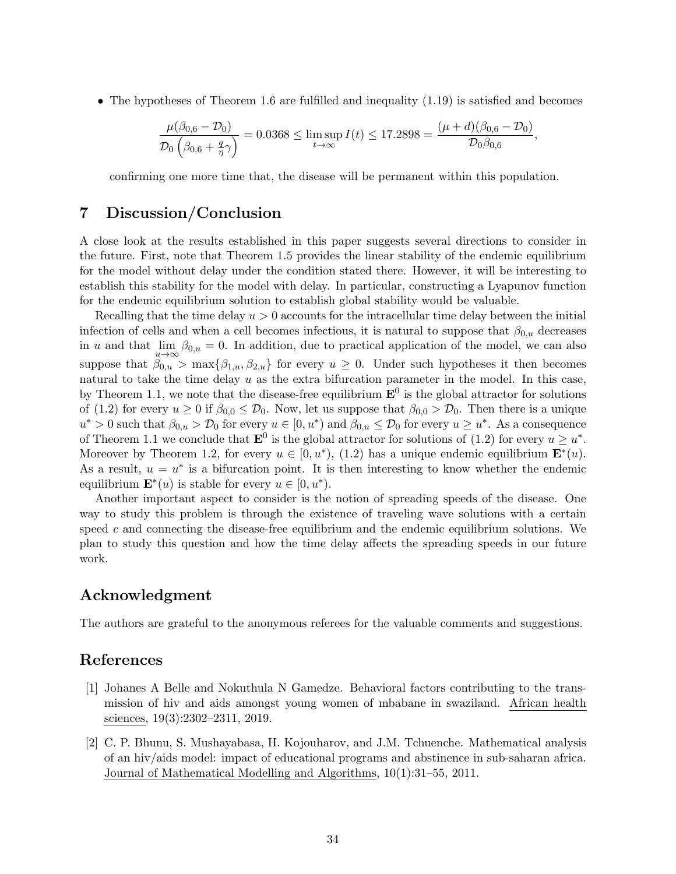• The hypotheses of Theorem 1.6 are fulfilled and inequality (1.19) is satisfied and becomes

$$
\frac{\mu(\beta_{0,6}-\mathcal{D}_0)}{\mathcal{D}_0(\beta_{0,6}+\frac{q}{\eta}\gamma)}=0.0368\leq \limsup_{t\to\infty}I(t)\leq 17.2898=\frac{(\mu+d)(\beta_{0,6}-\mathcal{D}_0)}{\mathcal{D}_0\beta_{0,6}},
$$

confirming one more time that, the disease will be permanent within this population.

#### 7 Discussion/Conclusion

A close look at the results established in this paper suggests several directions to consider in the future. First, note that Theorem 1.5 provides the linear stability of the endemic equilibrium for the model without delay under the condition stated there. However, it will be interesting to establish this stability for the model with delay. In particular, constructing a Lyapunov function for the endemic equilibrium solution to establish global stability would be valuable.

Recalling that the time delay  $u > 0$  accounts for the intracellular time delay between the initial infection of cells and when a cell becomes infectious, it is natural to suppose that  $\beta_{0,u}$  decreases in u and that  $\lim_{u\to\infty} \beta_{0,u} = 0$ . In addition, due to practical application of the model, we can also suppose that  $\beta_{0,u} > \max\{\beta_{1,u}, \beta_{2,u}\}\$  for every  $u \geq 0$ . Under such hypotheses it then becomes natural to take the time delay  $u$  as the extra bifurcation parameter in the model. In this case, by Theorem 1.1, we note that the disease-free equilibrium  $\mathbf{E}^0$  is the global attractor for solutions of (1.2) for every  $u \ge 0$  if  $\beta_{0,0} \le \mathcal{D}_0$ . Now, let us suppose that  $\beta_{0,0} > \mathcal{D}_0$ . Then there is a unique  $u^* > 0$  such that  $\beta_{0,u} > \mathcal{D}_0$  for every  $u \in [0, u^*)$  and  $\beta_{0,u} \leq \mathcal{D}_0$  for every  $u \geq u^*$ . As a consequence of Theorem 1.1 we conclude that  $\mathbf{E}^0$  is the global attractor for solutions of (1.2) for every  $u \geq u^*$ . Moreover by Theorem 1.2, for every  $u \in [0, u^*), (1.2)$  has a unique endemic equilibrium  $\mathbf{E}^*(u)$ . As a result,  $u = u^*$  is a bifurcation point. It is then interesting to know whether the endemic equilibrium  $\mathbf{E}^*(u)$  is stable for every  $u \in [0, u^*)$ .

Another important aspect to consider is the notion of spreading speeds of the disease. One way to study this problem is through the existence of traveling wave solutions with a certain speed  $c$  and connecting the disease-free equilibrium and the endemic equilibrium solutions. We plan to study this question and how the time delay affects the spreading speeds in our future work.

## Acknowledgment

The authors are grateful to the anonymous referees for the valuable comments and suggestions.

## References

- [1] Johanes A Belle and Nokuthula N Gamedze. Behavioral factors contributing to the transmission of hiv and aids amongst young women of mbabane in swaziland. African health sciences, 19(3):2302–2311, 2019.
- [2] C. P. Bhunu, S. Mushayabasa, H. Kojouharov, and J.M. Tchuenche. Mathematical analysis of an hiv/aids model: impact of educational programs and abstinence in sub-saharan africa. Journal of Mathematical Modelling and Algorithms, 10(1):31–55, 2011.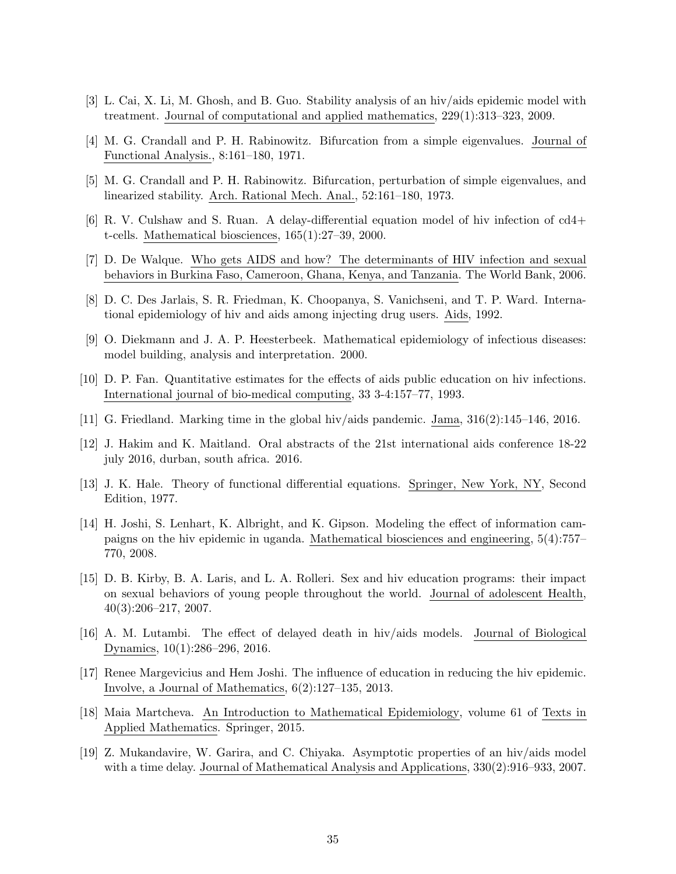- [3] L. Cai, X. Li, M. Ghosh, and B. Guo. Stability analysis of an hiv/aids epidemic model with treatment. Journal of computational and applied mathematics, 229(1):313–323, 2009.
- [4] M. G. Crandall and P. H. Rabinowitz. Bifurcation from a simple eigenvalues. Journal of Functional Analysis., 8:161–180, 1971.
- [5] M. G. Crandall and P. H. Rabinowitz. Bifurcation, perturbation of simple eigenvalues, and linearized stability. Arch. Rational Mech. Anal., 52:161–180, 1973.
- [6] R. V. Culshaw and S. Ruan. A delay-differential equation model of hiv infection of cd4+ t-cells. Mathematical biosciences, 165(1):27–39, 2000.
- [7] D. De Walque. Who gets AIDS and how? The determinants of HIV infection and sexual behaviors in Burkina Faso, Cameroon, Ghana, Kenya, and Tanzania. The World Bank, 2006.
- [8] D. C. Des Jarlais, S. R. Friedman, K. Choopanya, S. Vanichseni, and T. P. Ward. International epidemiology of hiv and aids among injecting drug users. Aids, 1992.
- [9] O. Diekmann and J. A. P. Heesterbeek. Mathematical epidemiology of infectious diseases: model building, analysis and interpretation. 2000.
- [10] D. P. Fan. Quantitative estimates for the effects of aids public education on hiv infections. International journal of bio-medical computing, 33 3-4:157–77, 1993.
- [11] G. Friedland. Marking time in the global hiv/aids pandemic. Jama, 316(2):145–146, 2016.
- [12] J. Hakim and K. Maitland. Oral abstracts of the 21st international aids conference 18-22 july 2016, durban, south africa. 2016.
- [13] J. K. Hale. Theory of functional differential equations. Springer, New York, NY, Second Edition, 1977.
- [14] H. Joshi, S. Lenhart, K. Albright, and K. Gipson. Modeling the effect of information campaigns on the hiv epidemic in uganda. Mathematical biosciences and engineering, 5(4):757– 770, 2008.
- [15] D. B. Kirby, B. A. Laris, and L. A. Rolleri. Sex and hiv education programs: their impact on sexual behaviors of young people throughout the world. Journal of adolescent Health, 40(3):206–217, 2007.
- [16] A. M. Lutambi. The effect of delayed death in hiv/aids models. Journal of Biological Dynamics, 10(1):286–296, 2016.
- [17] Renee Margevicius and Hem Joshi. The influence of education in reducing the hiv epidemic. Involve, a Journal of Mathematics, 6(2):127–135, 2013.
- [18] Maia Martcheva. An Introduction to Mathematical Epidemiology, volume 61 of Texts in Applied Mathematics. Springer, 2015.
- [19] Z. Mukandavire, W. Garira, and C. Chiyaka. Asymptotic properties of an hiv/aids model with a time delay. Journal of Mathematical Analysis and Applications, 330(2):916–933, 2007.